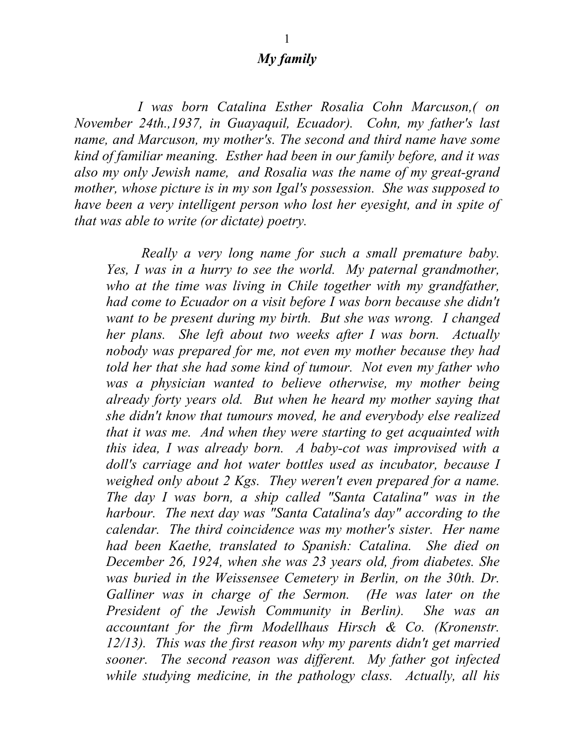## *My family*

 *I was born Catalina Esther Rosalia Cohn Marcuson,( on November 24th.,1937, in Guayaquil, Ecuador). Cohn, my father's last name, and Marcuson, my mother's. The second and third name have some kind of familiar meaning. Esther had been in our family before, and it was also my only Jewish name, and Rosalia was the name of my great-grand mother, whose picture is in my son Igal's possession. She was supposed to have been a very intelligent person who lost her eyesight, and in spite of that was able to write (or dictate) poetry.* 

 *Really a very long name for such a small premature baby. Yes, I was in a hurry to see the world. My paternal grandmother,*  who at the time was living in Chile together with my grandfather, *had come to Ecuador on a visit before I was born because she didn't want to be present during my birth. But she was wrong. I changed her plans. She left about two weeks after I was born. Actually nobody was prepared for me, not even my mother because they had told her that she had some kind of tumour. Not even my father who was a physician wanted to believe otherwise, my mother being already forty years old. But when he heard my mother saying that she didn't know that tumours moved, he and everybody else realized that it was me. And when they were starting to get acquainted with this idea, I was already born. A baby-cot was improvised with a doll's carriage and hot water bottles used as incubator, because I weighed only about 2 Kgs. They weren't even prepared for a name. The day I was born, a ship called "Santa Catalina" was in the harbour. The next day was "Santa Catalina's day" according to the calendar. The third coincidence was my mother's sister. Her name had been Kaethe, translated to Spanish: Catalina. She died on December 26, 1924, when she was 23 years old, from diabetes. She*  was buried in the Weissensee Cemetery in Berlin, on the 30th. Dr. *Galliner was in charge of the Sermon. (He was later on the President of the Jewish Community in Berlin). She was an accountant for the firm Modellhaus Hirsch & Co. (Kronenstr. 12/13). This was the first reason why my parents didn't get married sooner. The second reason was different. My father got infected while studying medicine, in the pathology class. Actually, all his*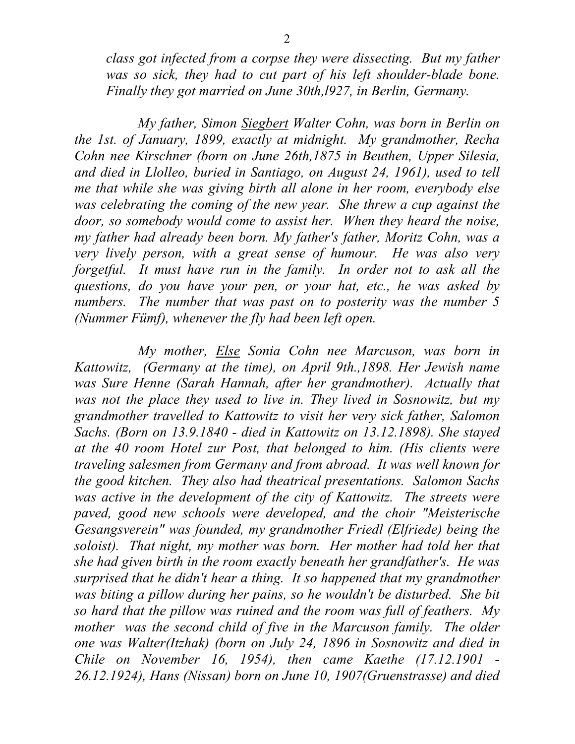*class got infected from a corpse they were dissecting. But my father*  was so sick, they had to cut part of his left shoulder-blade bone. *Finally they got married on June 30th,l927, in Berlin, Germany.* 

 *My father, Simon Siegbert Walter Cohn, was born in Berlin on the 1st. of January, 1899, exactly at midnight. My grandmother, Recha Cohn nee Kirschner (born on June 26th,1875 in Beuthen, Upper Silesia, and died in Llolleo, buried in Santiago, on August 24, 1961), used to tell me that while she was giving birth all alone in her room, everybody else was celebrating the coming of the new year. She threw a cup against the door, so somebody would come to assist her. When they heard the noise, my father had already been born. My father's father, Moritz Cohn, was a very lively person, with a great sense of humour. He was also very forgetful. It must have run in the family. In order not to ask all the questions, do you have your pen, or your hat, etc., he was asked by numbers. The number that was past on to posterity was the number 5 (Nummer Fümf), whenever the fly had been left open.*

 *My mother, Else Sonia Cohn nee Marcuson, was born in Kattowitz, (Germany at the time), on April 9th.,1898. Her Jewish name was Sure Henne (Sarah Hannah, after her grandmother). Actually that was not the place they used to live in. They lived in Sosnowitz, but my grandmother travelled to Kattowitz to visit her very sick father, Salomon Sachs. (Born on 13.9.1840 - died in Kattowitz on 13.12.1898). She stayed at the 40 room Hotel zur Post, that belonged to him. (His clients were traveling salesmen from Germany and from abroad. It was well known for the good kitchen. They also had theatrical presentations. Salomon Sachs*  was active in the development of the city of Kattowitz. The streets were *paved, good new schools were developed, and the choir "Meisterische Gesangsverein" was founded, my grandmother Friedl (Elfriede) being the soloist). That night, my mother was born. Her mother had told her that she had given birth in the room exactly beneath her grandfather's. He was surprised that he didn't hear a thing. It so happened that my grandmother was biting a pillow during her pains, so he wouldn't be disturbed. She bit so hard that the pillow was ruined and the room was full of feathers. My mother was the second child of five in the Marcuson family. The older one was Walter(Itzhak) (born on July 24, 1896 in Sosnowitz and died in Chile on November 16, 1954), then came Kaethe (17.12.1901 - 26.12.1924), Hans (Nissan) born on June 10, 1907(Gruenstrasse) and died*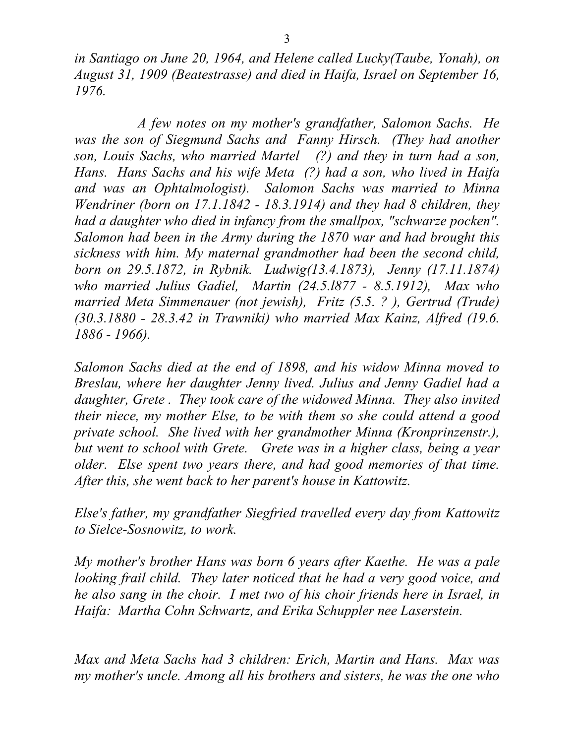*in Santiago on June 20, 1964, and Helene called Lucky(Taube, Yonah), on August 31, 1909 (Beatestrasse) and died in Haifa, Israel on September 16, 1976.* 

 *A few notes on my mother's grandfather, Salomon Sachs. He*  was the son of Siegmund Sachs and Fanny Hirsch. (They had another *son, Louis Sachs, who married Martel (?) and they in turn had a son, Hans. Hans Sachs and his wife Meta (?) had a son, who lived in Haifa and was an Ophtalmologist). Salomon Sachs was married to Minna Wendriner (born on 17.1.1842 - 18.3.1914) and they had 8 children, they had a daughter who died in infancy from the smallpox, "schwarze pocken". Salomon had been in the Army during the 1870 war and had brought this sickness with him. My maternal grandmother had been the second child, born on 29.5.1872, in Rybnik. Ludwig(13.4.1873), Jenny (17.11.1874) who married Julius Gadiel, Martin (24.5.l877 - 8.5.1912), Max who married Meta Simmenauer (not jewish), Fritz (5.5. ? ), Gertrud (Trude) (30.3.1880 - 28.3.42 in Trawniki) who married Max Kainz, Alfred (19.6. 1886 - 1966).* 

*Salomon Sachs died at the end of 1898, and his widow Minna moved to Breslau, where her daughter Jenny lived. Julius and Jenny Gadiel had a daughter, Grete . They took care of the widowed Minna. They also invited their niece, my mother Else, to be with them so she could attend a good private school. She lived with her grandmother Minna (Kronprinzenstr.), but went to school with Grete. Grete was in a higher class, being a year older. Else spent two years there, and had good memories of that time. After this, she went back to her parent's house in Kattowitz.* 

*Else's father, my grandfather Siegfried travelled every day from Kattowitz to Sielce-Sosnowitz, to work.* 

*My mother's brother Hans was born 6 years after Kaethe. He was a pale looking frail child. They later noticed that he had a very good voice, and he also sang in the choir. I met two of his choir friends here in Israel, in Haifa: Martha Cohn Schwartz, and Erika Schuppler nee Laserstein.* 

*Max and Meta Sachs had 3 children: Erich, Martin and Hans. Max was my mother's uncle. Among all his brothers and sisters, he was the one who*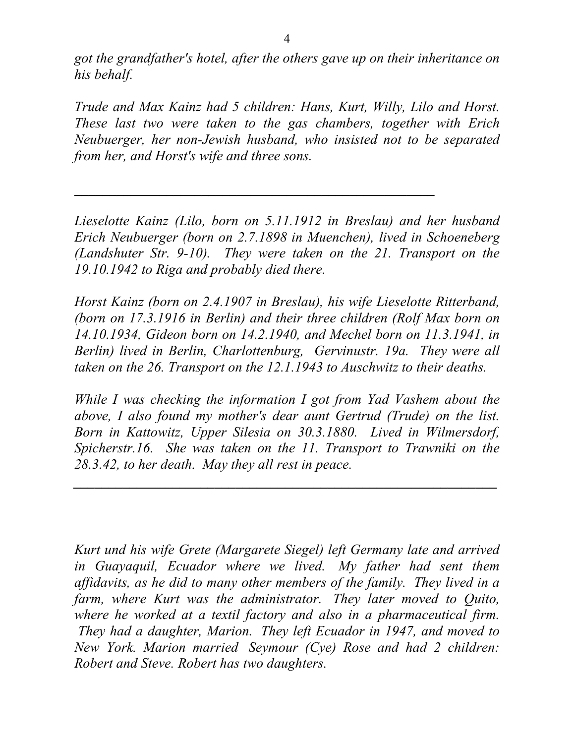*got the grandfather's hotel, after the others gave up on their inheritance on his behalf.* 

*Trude and Max Kainz had 5 children: Hans, Kurt, Willy, Lilo and Horst. These last two were taken to the gas chambers, together with Erich Neubuerger, her non-Jewish husband, who insisted not to be separated from her, and Horst's wife and three sons.* 

*Lieselotte Kainz (Lilo, born on 5.11.1912 in Breslau) and her husband Erich Neubuerger (born on 2.7.1898 in Muenchen), lived in Schoeneberg (Landshuter Str. 9-10). They were taken on the 21. Transport on the 19.10.1942 to Riga and probably died there.* 

**\_\_\_\_\_\_\_\_\_\_\_\_\_\_\_\_\_\_\_\_\_\_\_\_\_\_\_\_\_\_\_\_\_\_\_\_\_\_\_\_\_\_\_\_\_\_\_\_\_\_\_**

*Horst Kainz (born on 2.4.1907 in Breslau), his wife Lieselotte Ritterband, (born on 17.3.1916 in Berlin) and their three children (Rolf Max born on 14.10.1934, Gideon born on 14.2.1940, and Mechel born on 11.3.1941, in Berlin) lived in Berlin, Charlottenburg, Gervinustr. 19a. They were all taken on the 26. Transport on the 12.1.1943 to Auschwitz to their deaths.* 

*While I was checking the information I got from Yad Vashem about the above, I also found my mother's dear aunt Gertrud (Trude) on the list. Born in Kattowitz, Upper Silesia on 30.3.1880. Lived in Wilmersdorf, Spicherstr.16. She was taken on the 11. Transport to Trawniki on the 28.3.42, to her death. May they all rest in peace.*

*\_\_\_\_\_\_\_\_\_\_\_\_\_\_\_\_\_\_\_\_\_\_\_\_\_\_\_\_\_\_\_\_\_\_\_\_\_\_\_\_\_\_\_\_\_\_\_\_\_\_\_\_\_\_\_\_\_\_\_\_* 

*Kurt und his wife Grete (Margarete Siegel) left Germany late and arrived in Guayaquil, Ecuador where we lived. My father had sent them affidavits, as he did to many other members of the family. They lived in a farm, where Kurt was the administrator. They later moved to Quito, where he worked at a textil factory and also in a pharmaceutical firm. They had a daughter, Marion. They left Ecuador in 1947, and moved to New York. Marion married Seymour (Cye) Rose and had 2 children: Robert and Steve. Robert has two daughters.*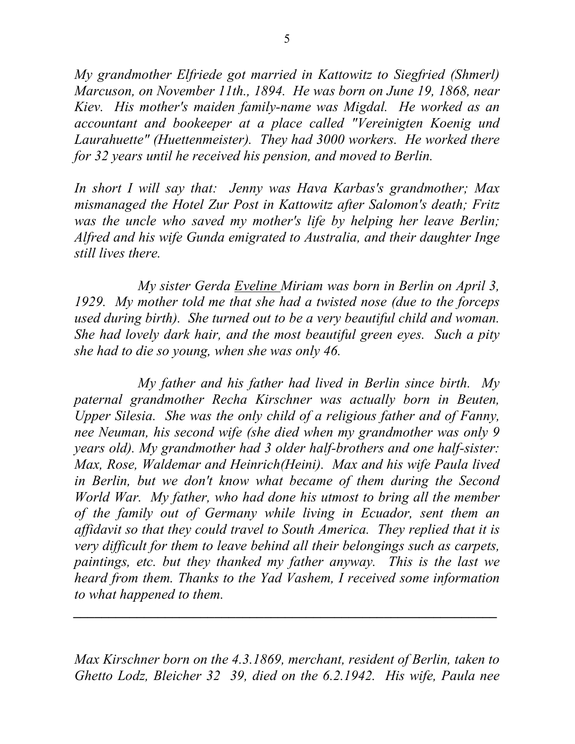*My grandmother Elfriede got married in Kattowitz to Siegfried (Shmerl) Marcuson, on November 11th., 1894. He was born on June 19, 1868, near Kiev. His mother's maiden family-name was Migdal. He worked as an accountant and bookeeper at a place called "Vereinigten Koenig und Laurahuette" (Huettenmeister). They had 3000 workers. He worked there for 32 years until he received his pension, and moved to Berlin.* 

*In short I will say that: Jenny was Hava Karbas's grandmother; Max mismanaged the Hotel Zur Post in Kattowitz after Salomon's death; Fritz was the uncle who saved my mother's life by helping her leave Berlin; Alfred and his wife Gunda emigrated to Australia, and their daughter Inge still lives there.* 

*My sister Gerda Eveline Miriam was born in Berlin on April 3, 1929. My mother told me that she had a twisted nose (due to the forceps used during birth). She turned out to be a very beautiful child and woman. She had lovely dark hair, and the most beautiful green eyes. Such a pity she had to die so young, when she was only 46.* 

*My father and his father had lived in Berlin since birth. My paternal grandmother Recha Kirschner was actually born in Beuten, Upper Silesia. She was the only child of a religious father and of Fanny, nee Neuman, his second wife (she died when my grandmother was only 9 years old). My grandmother had 3 older half-brothers and one half-sister: Max, Rose, Waldemar and Heinrich(Heini). Max and his wife Paula lived in Berlin, but we don't know what became of them during the Second World War. My father, who had done his utmost to bring all the member of the family out of Germany while living in Ecuador, sent them an affidavit so that they could travel to South America. They replied that it is very difficult for them to leave behind all their belongings such as carpets, paintings, etc. but they thanked my father anyway. This is the last we heard from them. Thanks to the Yad Vashem, I received some information to what happened to them.* 

*Max Kirschner born on the 4.3.1869, merchant, resident of Berlin, taken to Ghetto Lodz, Bleicher 32 39, died on the 6.2.1942. His wife, Paula nee* 

*\_\_\_\_\_\_\_\_\_\_\_\_\_\_\_\_\_\_\_\_\_\_\_\_\_\_\_\_\_\_\_\_\_\_\_\_\_\_\_\_\_\_\_\_\_\_\_\_\_\_\_\_\_\_\_\_\_\_\_\_*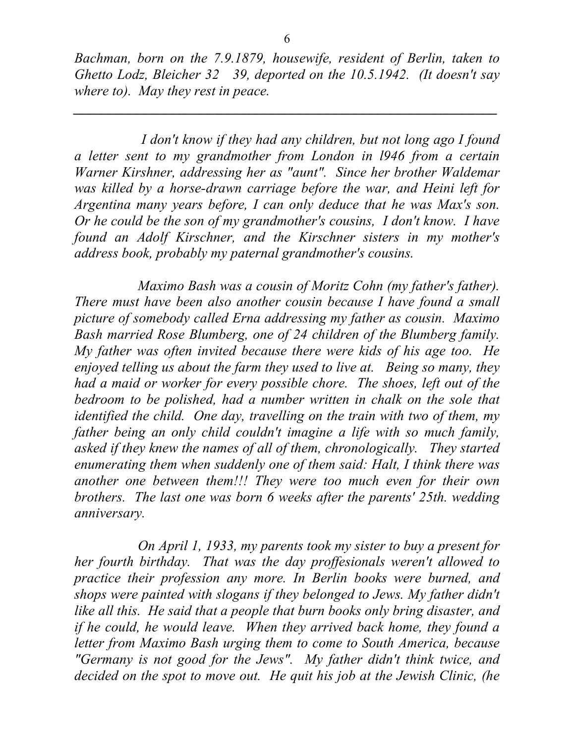*Bachman, born on the 7.9.1879, housewife, resident of Berlin, taken to Ghetto Lodz, Bleicher 32 39, deported on the 10.5.1942. (It doesn't say where to). May they rest in peace.* 

*\_\_\_\_\_\_\_\_\_\_\_\_\_\_\_\_\_\_\_\_\_\_\_\_\_\_\_\_\_\_\_\_\_\_\_\_\_\_\_\_\_\_\_\_\_\_\_\_\_\_\_\_\_\_\_\_\_\_\_\_*

 *I don't know if they had any children, but not long ago I found a letter sent to my grandmother from London in l946 from a certain Warner Kirshner, addressing her as "aunt". Since her brother Waldemar was killed by a horse-drawn carriage before the war, and Heini left for Argentina many years before, I can only deduce that he was Max's son. Or he could be the son of my grandmother's cousins, I don't know. I have found an Adolf Kirschner, and the Kirschner sisters in my mother's address book, probably my paternal grandmother's cousins.* 

*Maximo Bash was a cousin of Moritz Cohn (my father's father). There must have been also another cousin because I have found a small picture of somebody called Erna addressing my father as cousin. Maximo Bash married Rose Blumberg, one of 24 children of the Blumberg family. My father was often invited because there were kids of his age too. He enjoyed telling us about the farm they used to live at. Being so many, they had a maid or worker for every possible chore. The shoes, left out of the bedroom to be polished, had a number written in chalk on the sole that identified the child. One day, travelling on the train with two of them, my father being an only child couldn't imagine a life with so much family, asked if they knew the names of all of them, chronologically. They started enumerating them when suddenly one of them said: Halt, I think there was another one between them!!! They were too much even for their own brothers. The last one was born 6 weeks after the parents' 25th. wedding anniversary.* 

*On April 1, 1933, my parents took my sister to buy a present for her fourth birthday. That was the day proffesionals weren't allowed to practice their profession any more. In Berlin books were burned, and shops were painted with slogans if they belonged to Jews. My father didn't like all this. He said that a people that burn books only bring disaster, and if he could, he would leave. When they arrived back home, they found a letter from Maximo Bash urging them to come to South America, because "Germany is not good for the Jews". My father didn't think twice, and decided on the spot to move out. He quit his job at the Jewish Clinic, (he*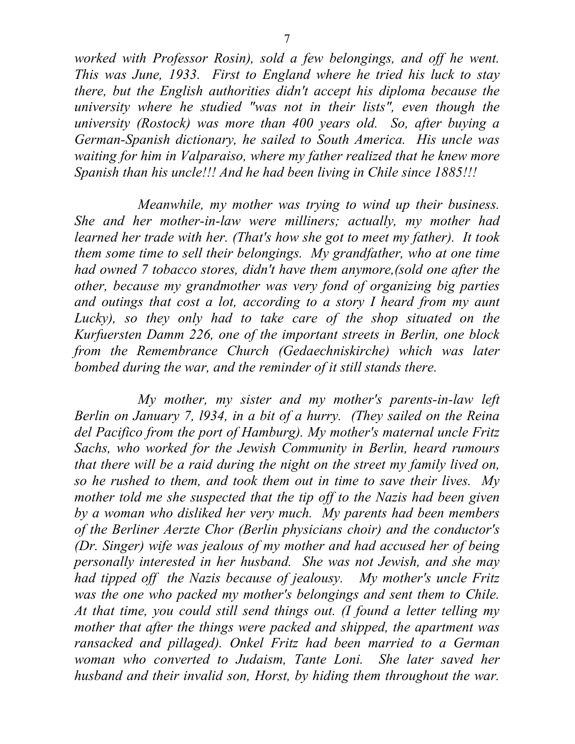*worked with Professor Rosin), sold a few belongings, and off he went. This was June, 1933. First to England where he tried his luck to stay there, but the English authorities didn't accept his diploma because the university where he studied "was not in their lists", even though the university (Rostock) was more than 400 years old. So, after buying a German-Spanish dictionary, he sailed to South America. His uncle was waiting for him in Valparaiso, where my father realized that he knew more Spanish than his uncle!!! And he had been living in Chile since 1885!!!* 

*Meanwhile, my mother was trying to wind up their business. She and her mother-in-law were milliners; actually, my mother had learned her trade with her. (That's how she got to meet my father). It took them some time to sell their belongings. My grandfather, who at one time had owned 7 tobacco stores, didn't have them anymore,(sold one after the other, because my grandmother was very fond of organizing big parties and outings that cost a lot, according to a story I heard from my aunt Lucky*), so they only had to take care of the shop situated on the *Kurfuersten Damm 226, one of the important streets in Berlin, one block from the Remembrance Church (Gedaechniskirche) which was later bombed during the war, and the reminder of it still stands there.* 

*My mother, my sister and my mother's parents-in-law left Berlin on January 7, l934, in a bit of a hurry. (They sailed on the Reina del Pacifico from the port of Hamburg). My mother's maternal uncle Fritz Sachs, who worked for the Jewish Community in Berlin, heard rumours that there will be a raid during the night on the street my family lived on, so he rushed to them, and took them out in time to save their lives. My mother told me she suspected that the tip off to the Nazis had been given by a woman who disliked her very much. My parents had been members of the Berliner Aerzte Chor (Berlin physicians choir) and the conductor's (Dr. Singer) wife was jealous of my mother and had accused her of being personally interested in her husband. She was not Jewish, and she may had tipped off the Nazis because of jealousy. My mother's uncle Fritz was the one who packed my mother's belongings and sent them to Chile. At that time, you could still send things out. (I found a letter telling my mother that after the things were packed and shipped, the apartment was ransacked and pillaged). Onkel Fritz had been married to a German woman who converted to Judaism, Tante Loni. She later saved her husband and their invalid son, Horst, by hiding them throughout the war.*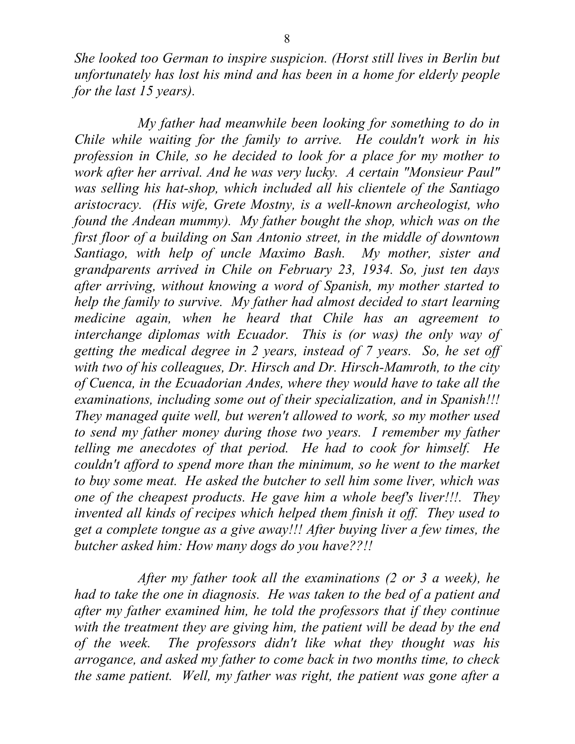*She looked too German to inspire suspicion. (Horst still lives in Berlin but unfortunately has lost his mind and has been in a home for elderly people for the last 15 years).* 

*My father had meanwhile been looking for something to do in Chile while waiting for the family to arrive. He couldn't work in his profession in Chile, so he decided to look for a place for my mother to work after her arrival. And he was very lucky. A certain "Monsieur Paul" was selling his hat-shop, which included all his clientele of the Santiago aristocracy. (His wife, Grete Mostny, is a well-known archeologist, who found the Andean mummy). My father bought the shop, which was on the first floor of a building on San Antonio street, in the middle of downtown Santiago, with help of uncle Maximo Bash. My mother, sister and grandparents arrived in Chile on February 23, 1934. So, just ten days after arriving, without knowing a word of Spanish, my mother started to help the family to survive. My father had almost decided to start learning medicine again, when he heard that Chile has an agreement to interchange diplomas with Ecuador. This is (or was) the only way of getting the medical degree in 2 years, instead of 7 years. So, he set off with two of his colleagues, Dr. Hirsch and Dr. Hirsch-Mamroth, to the city of Cuenca, in the Ecuadorian Andes, where they would have to take all the examinations, including some out of their specialization, and in Spanish!!! They managed quite well, but weren't allowed to work, so my mother used to send my father money during those two years. I remember my father telling me anecdotes of that period. He had to cook for himself. He couldn't afford to spend more than the minimum, so he went to the market to buy some meat. He asked the butcher to sell him some liver, which was one of the cheapest products. He gave him a whole beef's liver!!!. They invented all kinds of recipes which helped them finish it off. They used to get a complete tongue as a give away!!! After buying liver a few times, the butcher asked him: How many dogs do you have??!!* 

*After my father took all the examinations (2 or 3 a week), he had to take the one in diagnosis. He was taken to the bed of a patient and after my father examined him, he told the professors that if they continue with the treatment they are giving him, the patient will be dead by the end of the week. The professors didn't like what they thought was his arrogance, and asked my father to come back in two months time, to check the same patient. Well, my father was right, the patient was gone after a*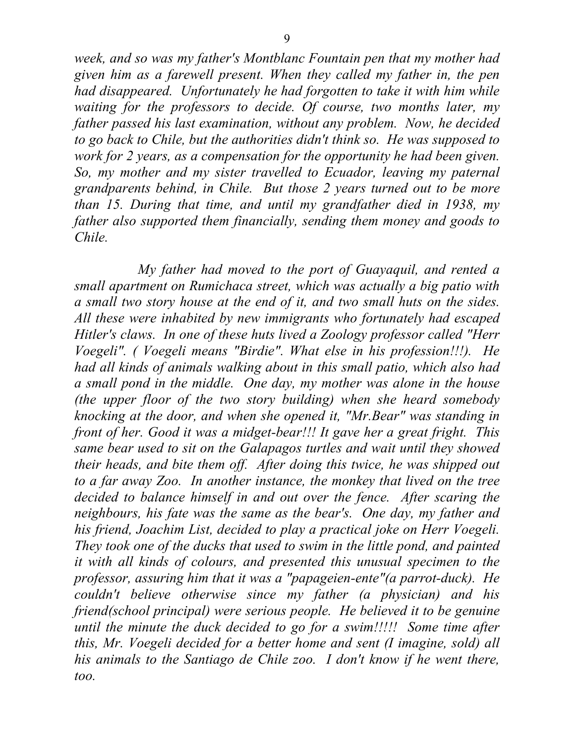*week, and so was my father's Montblanc Fountain pen that my mother had given him as a farewell present. When they called my father in, the pen had disappeared. Unfortunately he had forgotten to take it with him while waiting for the professors to decide. Of course, two months later, my father passed his last examination, without any problem. Now, he decided to go back to Chile, but the authorities didn't think so. He was supposed to work for 2 years, as a compensation for the opportunity he had been given. So, my mother and my sister travelled to Ecuador, leaving my paternal grandparents behind, in Chile. But those 2 years turned out to be more than 15. During that time, and until my grandfather died in 1938, my father also supported them financially, sending them money and goods to Chile.* 

*My father had moved to the port of Guayaquil, and rented a small apartment on Rumichaca street, which was actually a big patio with a small two story house at the end of it, and two small huts on the sides. All these were inhabited by new immigrants who fortunately had escaped Hitler's claws. In one of these huts lived a Zoology professor called "Herr Voegeli". ( Voegeli means "Birdie". What else in his profession!!!). He had all kinds of animals walking about in this small patio, which also had a small pond in the middle. One day, my mother was alone in the house (the upper floor of the two story building) when she heard somebody knocking at the door, and when she opened it, "Mr.Bear" was standing in front of her. Good it was a midget-bear!!! It gave her a great fright. This same bear used to sit on the Galapagos turtles and wait until they showed their heads, and bite them off. After doing this twice, he was shipped out to a far away Zoo. In another instance, the monkey that lived on the tree decided to balance himself in and out over the fence. After scaring the neighbours, his fate was the same as the bear's. One day, my father and his friend, Joachim List, decided to play a practical joke on Herr Voegeli. They took one of the ducks that used to swim in the little pond, and painted it with all kinds of colours, and presented this unusual specimen to the professor, assuring him that it was a "papageien-ente"(a parrot-duck). He couldn't believe otherwise since my father (a physician) and his friend(school principal) were serious people. He believed it to be genuine until the minute the duck decided to go for a swim!!!!! Some time after this, Mr. Voegeli decided for a better home and sent (I imagine, sold) all his animals to the Santiago de Chile zoo. I don't know if he went there, too.*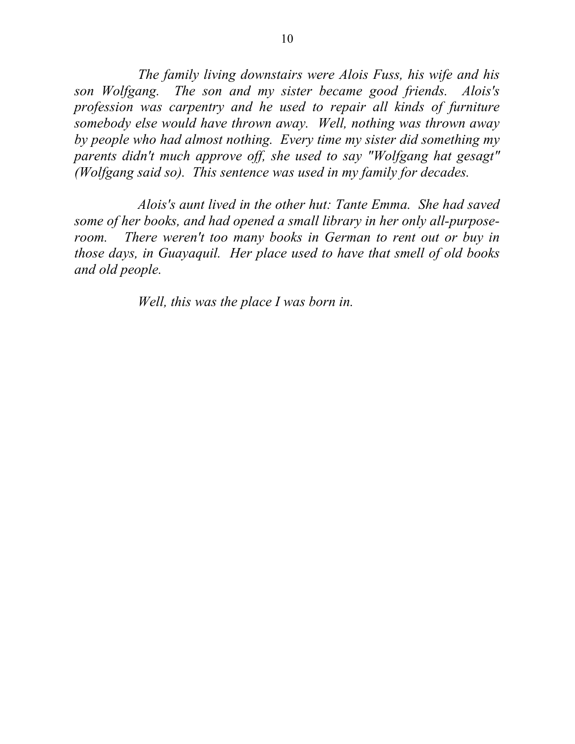*The family living downstairs were Alois Fuss, his wife and his son Wolfgang. The son and my sister became good friends. Alois's profession was carpentry and he used to repair all kinds of furniture somebody else would have thrown away. Well, nothing was thrown away by people who had almost nothing. Every time my sister did something my parents didn't much approve off, she used to say "Wolfgang hat gesagt" (Wolfgang said so). This sentence was used in my family for decades.* 

*Alois's aunt lived in the other hut: Tante Emma. She had saved some of her books, and had opened a small library in her only all-purposeroom. There weren't too many books in German to rent out or buy in those days, in Guayaquil. Her place used to have that smell of old books and old people.* 

*Well, this was the place I was born in.*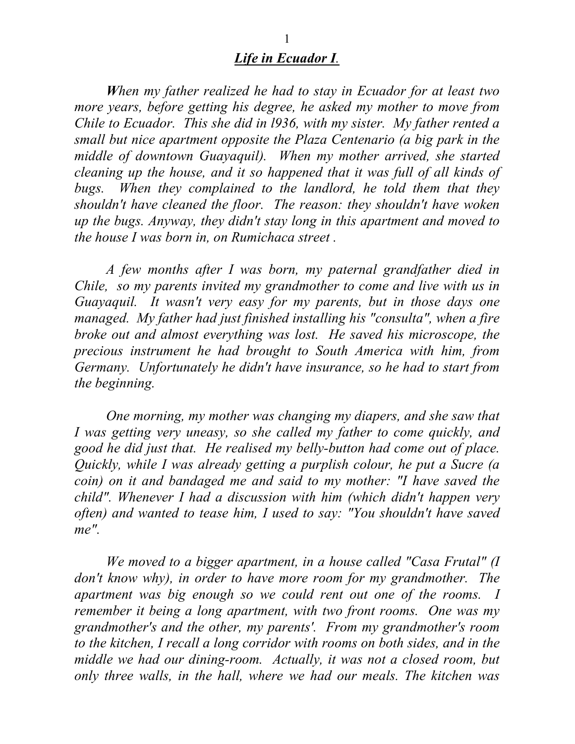## *Life in Ecuador I.*

 *When my father realized he had to stay in Ecuador for at least two more years, before getting his degree, he asked my mother to move from Chile to Ecuador. This she did in l936, with my sister. My father rented a small but nice apartment opposite the Plaza Centenario (a big park in the middle of downtown Guayaquil). When my mother arrived, she started cleaning up the house, and it so happened that it was full of all kinds of bugs. When they complained to the landlord, he told them that they shouldn't have cleaned the floor. The reason: they shouldn't have woken up the bugs. Anyway, they didn't stay long in this apartment and moved to the house I was born in, on Rumichaca street .*

*A few months after I was born, my paternal grandfather died in Chile, so my parents invited my grandmother to come and live with us in Guayaquil. It wasn't very easy for my parents, but in those days one managed. My father had just finished installing his "consulta", when a fire broke out and almost everything was lost. He saved his microscope, the precious instrument he had brought to South America with him, from Germany. Unfortunately he didn't have insurance, so he had to start from the beginning.* 

 *One morning, my mother was changing my diapers, and she saw that I was getting very uneasy, so she called my father to come quickly, and good he did just that. He realised my belly-button had come out of place. Quickly, while I was already getting a purplish colour, he put a Sucre (a coin) on it and bandaged me and said to my mother: "I have saved the child". Whenever I had a discussion with him (which didn't happen very often) and wanted to tease him, I used to say: "You shouldn't have saved me".* 

 *We moved to a bigger apartment, in a house called "Casa Frutal" (I don't know why), in order to have more room for my grandmother. The apartment was big enough so we could rent out one of the rooms. I remember it being a long apartment, with two front rooms. One was my grandmother's and the other, my parents'. From my grandmother's room to the kitchen, I recall a long corridor with rooms on both sides, and in the middle we had our dining-room. Actually, it was not a closed room, but only three walls, in the hall, where we had our meals. The kitchen was*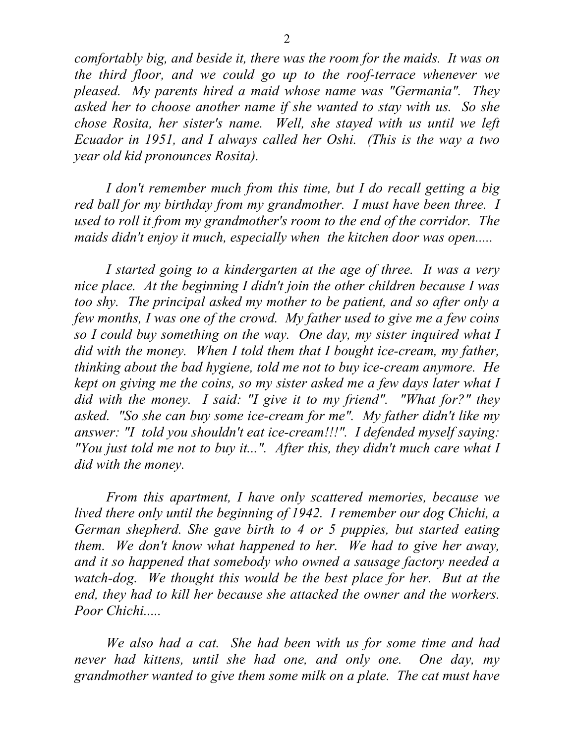*comfortably big, and beside it, there was the room for the maids. It was on the third floor, and we could go up to the roof-terrace whenever we pleased. My parents hired a maid whose name was "Germania". They asked her to choose another name if she wanted to stay with us. So she chose Rosita, her sister's name. Well, she stayed with us until we left Ecuador in 1951, and I always called her Oshi. (This is the way a two year old kid pronounces Rosita).* 

*I don't remember much from this time, but I do recall getting a big red ball for my birthday from my grandmother. I must have been three. I used to roll it from my grandmother's room to the end of the corridor. The maids didn't enjoy it much, especially when the kitchen door was open.....* 

 *I started going to a kindergarten at the age of three. It was a very nice place. At the beginning I didn't join the other children because I was too shy. The principal asked my mother to be patient, and so after only a few months, I was one of the crowd. My father used to give me a few coins so I could buy something on the way. One day, my sister inquired what I did with the money. When I told them that I bought ice-cream, my father, thinking about the bad hygiene, told me not to buy ice-cream anymore. He kept on giving me the coins, so my sister asked me a few days later what I did with the money. I said: "I give it to my friend". "What for?" they asked. "So she can buy some ice-cream for me". My father didn't like my answer: "I told you shouldn't eat ice-cream!!!". I defended myself saying: "You just told me not to buy it...". After this, they didn't much care what I did with the money.* 

 *From this apartment, I have only scattered memories, because we lived there only until the beginning of 1942. I remember our dog Chichi, a German shepherd. She gave birth to 4 or 5 puppies, but started eating them. We don't know what happened to her. We had to give her away, and it so happened that somebody who owned a sausage factory needed a watch-dog. We thought this would be the best place for her. But at the end, they had to kill her because she attacked the owner and the workers. Poor Chichi.....* 

 *We also had a cat. She had been with us for some time and had never had kittens, until she had one, and only one. One day, my grandmother wanted to give them some milk on a plate. The cat must have*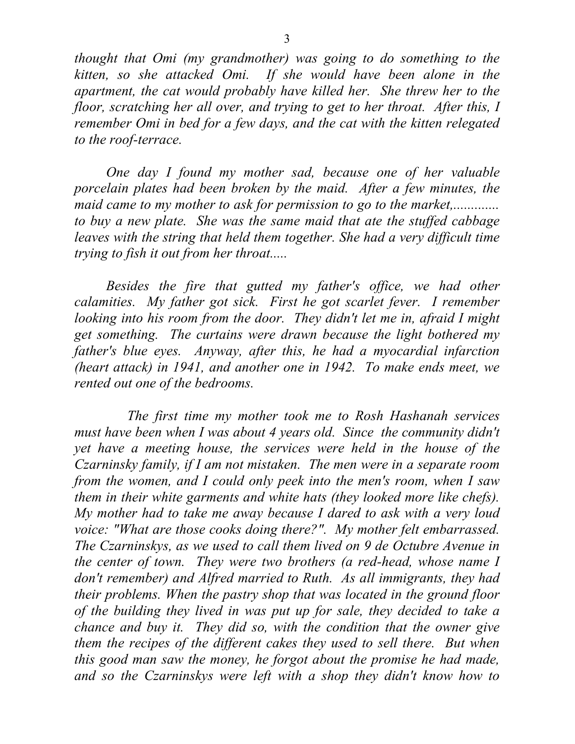*thought that Omi (my grandmother) was going to do something to the kitten, so she attacked Omi. If she would have been alone in the apartment, the cat would probably have killed her. She threw her to the floor, scratching her all over, and trying to get to her throat. After this, I remember Omi in bed for a few days, and the cat with the kitten relegated to the roof-terrace.* 

 *One day I found my mother sad, because one of her valuable porcelain plates had been broken by the maid. After a few minutes, the maid came to my mother to ask for permission to go to the market,.............. to buy a new plate. She was the same maid that ate the stuffed cabbage leaves with the string that held them together. She had a very difficult time trying to fish it out from her throat.....* 

*Besides the fire that gutted my father's office, we had other calamities. My father got sick. First he got scarlet fever. I remember looking into his room from the door. They didn't let me in, afraid I might get something. The curtains were drawn because the light bothered my father's blue eyes. Anyway, after this, he had a myocardial infarction (heart attack) in 1941, and another one in 1942. To make ends meet, we rented out one of the bedrooms.* 

 *The first time my mother took me to Rosh Hashanah services must have been when I was about 4 years old. Since the community didn't yet have a meeting house, the services were held in the house of the Czarninsky family, if I am not mistaken. The men were in a separate room from the women, and I could only peek into the men's room, when I saw them in their white garments and white hats (they looked more like chefs). My mother had to take me away because I dared to ask with a very loud voice: "What are those cooks doing there?". My mother felt embarrassed. The Czarninskys, as we used to call them lived on 9 de Octubre Avenue in the center of town. They were two brothers (a red-head, whose name I don't remember) and Alfred married to Ruth. As all immigrants, they had their problems. When the pastry shop that was located in the ground floor of the building they lived in was put up for sale, they decided to take a chance and buy it. They did so, with the condition that the owner give them the recipes of the different cakes they used to sell there. But when this good man saw the money, he forgot about the promise he had made, and so the Czarninskys were left with a shop they didn't know how to*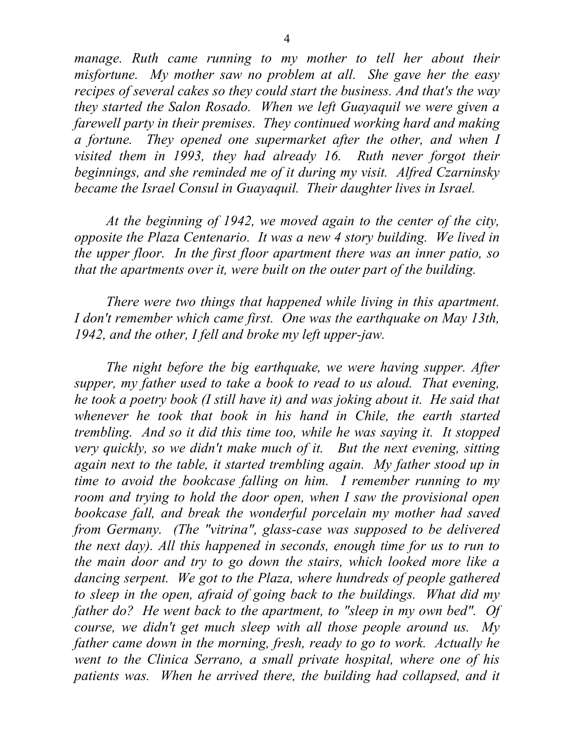*manage. Ruth came running to my mother to tell her about their misfortune. My mother saw no problem at all. She gave her the easy recipes of several cakes so they could start the business. And that's the way they started the Salon Rosado. When we left Guayaquil we were given a farewell party in their premises. They continued working hard and making a fortune. They opened one supermarket after the other, and when I visited them in 1993, they had already 16. Ruth never forgot their beginnings, and she reminded me of it during my visit. Alfred Czarninsky became the Israel Consul in Guayaquil. Their daughter lives in Israel.* 

 *At the beginning of 1942, we moved again to the center of the city, opposite the Plaza Centenario. It was a new 4 story building. We lived in the upper floor. In the first floor apartment there was an inner patio, so that the apartments over it, were built on the outer part of the building.* 

 *There were two things that happened while living in this apartment. I don't remember which came first. One was the earthquake on May 13th, 1942, and the other, I fell and broke my left upper-jaw.* 

 *The night before the big earthquake, we were having supper. After supper, my father used to take a book to read to us aloud. That evening, he took a poetry book (I still have it) and was joking about it. He said that whenever he took that book in his hand in Chile, the earth started trembling. And so it did this time too, while he was saying it. It stopped very quickly, so we didn't make much of it. But the next evening, sitting again next to the table, it started trembling again. My father stood up in time to avoid the bookcase falling on him. I remember running to my room and trying to hold the door open, when I saw the provisional open bookcase fall, and break the wonderful porcelain my mother had saved from Germany. (The "vitrina", glass-case was supposed to be delivered the next day). All this happened in seconds, enough time for us to run to the main door and try to go down the stairs, which looked more like a dancing serpent. We got to the Plaza, where hundreds of people gathered to sleep in the open, afraid of going back to the buildings. What did my father do? He went back to the apartment, to "sleep in my own bed". Of course, we didn't get much sleep with all those people around us. My father came down in the morning, fresh, ready to go to work. Actually he went to the Clinica Serrano, a small private hospital, where one of his patients was. When he arrived there, the building had collapsed, and it*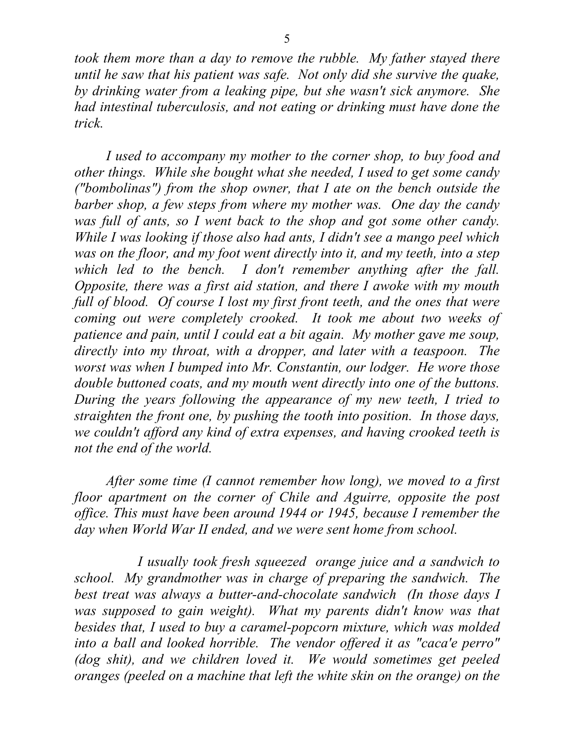*took them more than a day to remove the rubble. My father stayed there until he saw that his patient was safe. Not only did she survive the quake, by drinking water from a leaking pipe, but she wasn't sick anymore. She had intestinal tuberculosis, and not eating or drinking must have done the trick.* 

 *I used to accompany my mother to the corner shop, to buy food and other things. While she bought what she needed, I used to get some candy ("bombolinas") from the shop owner, that I ate on the bench outside the barber shop, a few steps from where my mother was. One day the candy was full of ants, so I went back to the shop and got some other candy. While I was looking if those also had ants, I didn't see a mango peel which was on the floor, and my foot went directly into it, and my teeth, into a step which led to the bench. I don't remember anything after the fall. Opposite, there was a first aid station, and there I awoke with my mouth*  full of blood. Of course I lost my first front teeth, and the ones that were *coming out were completely crooked. It took me about two weeks of patience and pain, until I could eat a bit again. My mother gave me soup, directly into my throat, with a dropper, and later with a teaspoon. The worst was when I bumped into Mr. Constantin, our lodger. He wore those double buttoned coats, and my mouth went directly into one of the buttons. During the years following the appearance of my new teeth, I tried to straighten the front one, by pushing the tooth into position. In those days, we couldn't afford any kind of extra expenses, and having crooked teeth is not the end of the world.* 

 *After some time (I cannot remember how long), we moved to a first floor apartment on the corner of Chile and Aguirre, opposite the post office. This must have been around 1944 or 1945, because I remember the day when World War II ended, and we were sent home from school.* 

 *I usually took fresh squeezed orange juice and a sandwich to school. My grandmother was in charge of preparing the sandwich. The best treat was always a butter-and-chocolate sandwich (In those days I*  was supposed to gain weight). What my parents didn't know was that *besides that, I used to buy a caramel-popcorn mixture, which was molded into a ball and looked horrible. The vendor offered it as "caca'e perro" (dog shit), and we children loved it. We would sometimes get peeled oranges (peeled on a machine that left the white skin on the orange) on the*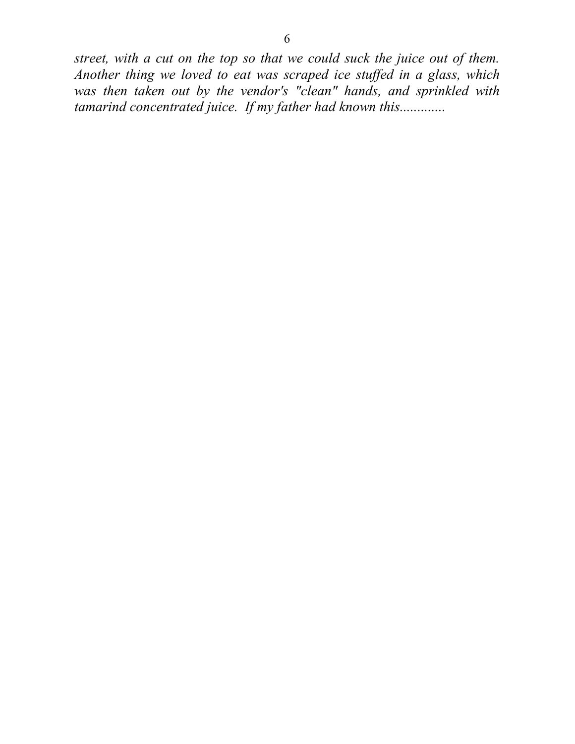*street, with a cut on the top so that we could suck the juice out of them. Another thing we loved to eat was scraped ice stuffed in a glass, which was then taken out by the vendor's "clean" hands, and sprinkled with tamarind concentrated juice. If my father had known this.............*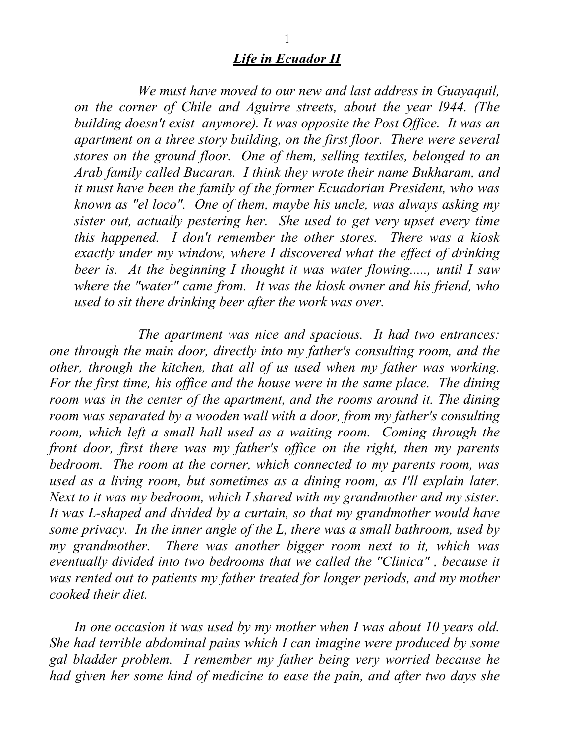## *Life in Ecuador II*

 *We must have moved to our new and last address in Guayaquil, on the corner of Chile and Aguirre streets, about the year l944. (The building doesn't exist anymore). It was opposite the Post Office. It was an apartment on a three story building, on the first floor. There were several stores on the ground floor. One of them, selling textiles, belonged to an Arab family called Bucaran. I think they wrote their name Bukharam, and it must have been the family of the former Ecuadorian President, who was known as "el loco". One of them, maybe his uncle, was always asking my sister out, actually pestering her. She used to get very upset every time this happened. I don't remember the other stores. There was a kiosk exactly under my window, where I discovered what the effect of drinking beer is. At the beginning I thought it was water flowing....., until I saw where the "water" came from. It was the kiosk owner and his friend, who used to sit there drinking beer after the work was over.* 

 *The apartment was nice and spacious. It had two entrances: one through the main door, directly into my father's consulting room, and the other, through the kitchen, that all of us used when my father was working. For the first time, his office and the house were in the same place. The dining room was in the center of the apartment, and the rooms around it. The dining room was separated by a wooden wall with a door, from my father's consulting room, which left a small hall used as a waiting room. Coming through the front door, first there was my father's office on the right, then my parents bedroom. The room at the corner, which connected to my parents room, was used as a living room, but sometimes as a dining room, as I'll explain later. Next to it was my bedroom, which I shared with my grandmother and my sister. It was L-shaped and divided by a curtain, so that my grandmother would have some privacy. In the inner angle of the L, there was a small bathroom, used by my grandmother. There was another bigger room next to it, which was eventually divided into two bedrooms that we called the "Clinica" , because it was rented out to patients my father treated for longer periods, and my mother cooked their diet.* 

*In one occasion it was used by my mother when I was about 10 years old. She had terrible abdominal pains which I can imagine were produced by some gal bladder problem. I remember my father being very worried because he had given her some kind of medicine to ease the pain, and after two days she*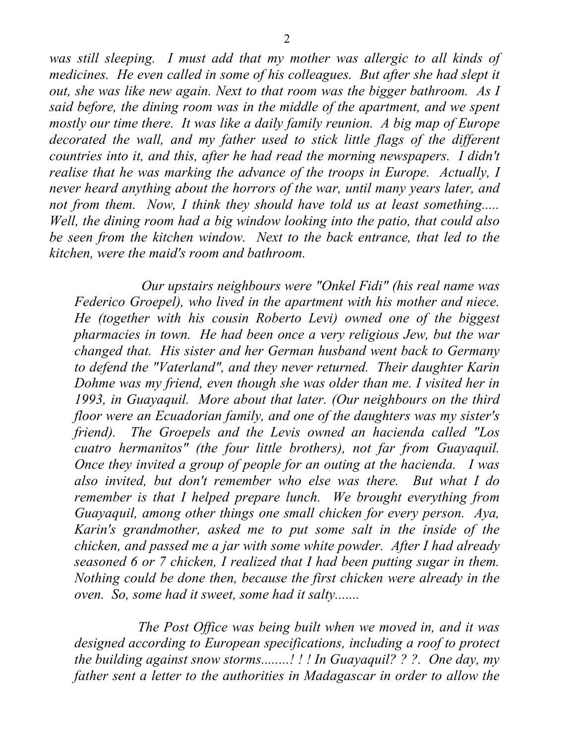*was still sleeping. I must add that my mother was allergic to all kinds of medicines. He even called in some of his colleagues. But after she had slept it out, she was like new again. Next to that room was the bigger bathroom. As I said before, the dining room was in the middle of the apartment, and we spent mostly our time there. It was like a daily family reunion. A big map of Europe decorated the wall, and my father used to stick little flags of the different countries into it, and this, after he had read the morning newspapers. I didn't realise that he was marking the advance of the troops in Europe. Actually, I never heard anything about the horrors of the war, until many years later, and not from them. Now, I think they should have told us at least something..... Well, the dining room had a big window looking into the patio, that could also be seen from the kitchen window. Next to the back entrance, that led to the kitchen, were the maid's room and bathroom.* 

 *Our upstairs neighbours were "Onkel Fidi" (his real name was Federico Groepel), who lived in the apartment with his mother and niece. He (together with his cousin Roberto Levi) owned one of the biggest pharmacies in town. He had been once a very religious Jew, but the war changed that. His sister and her German husband went back to Germany to defend the "Vaterland", and they never returned. Their daughter Karin Dohme was my friend, even though she was older than me. I visited her in 1993, in Guayaquil. More about that later. (Our neighbours on the third floor were an Ecuadorian family, and one of the daughters was my sister's friend). The Groepels and the Levis owned an hacienda called "Los cuatro hermanitos" (the four little brothers), not far from Guayaquil. Once they invited a group of people for an outing at the hacienda. I was also invited, but don't remember who else was there. But what I do remember is that I helped prepare lunch. We brought everything from Guayaquil, among other things one small chicken for every person. Aya, Karin's grandmother, asked me to put some salt in the inside of the chicken, and passed me a jar with some white powder. After I had already seasoned 6 or 7 chicken, I realized that I had been putting sugar in them. Nothing could be done then, because the first chicken were already in the oven. So, some had it sweet, some had it salty.......* 

 *The Post Office was being built when we moved in, and it was designed according to European specifications, including a roof to protect the building against snow storms........! ! ! In Guayaquil? ? ?. One day, my father sent a letter to the authorities in Madagascar in order to allow the*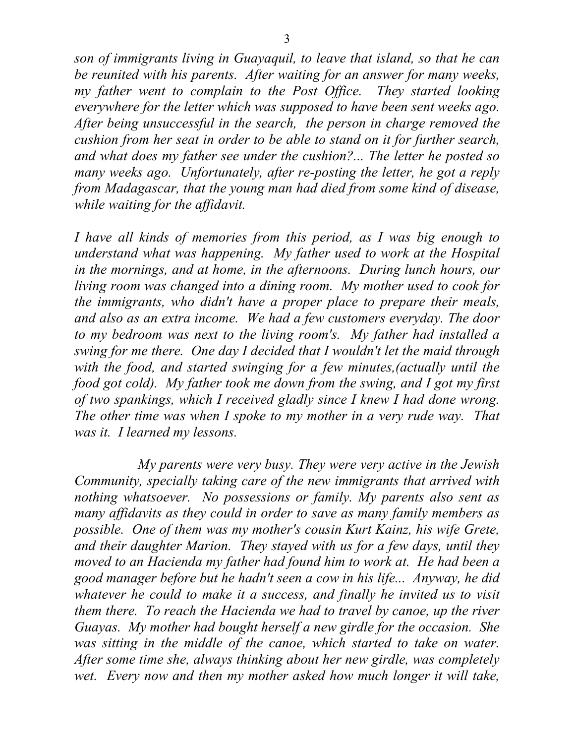*son of immigrants living in Guayaquil, to leave that island, so that he can be reunited with his parents. After waiting for an answer for many weeks, my father went to complain to the Post Office. They started looking everywhere for the letter which was supposed to have been sent weeks ago. After being unsuccessful in the search, the person in charge removed the cushion from her seat in order to be able to stand on it for further search, and what does my father see under the cushion?... The letter he posted so many weeks ago. Unfortunately, after re-posting the letter, he got a reply from Madagascar, that the young man had died from some kind of disease, while waiting for the affidavit.* 

*I have all kinds of memories from this period, as I was big enough to understand what was happening. My father used to work at the Hospital in the mornings, and at home, in the afternoons. During lunch hours, our living room was changed into a dining room. My mother used to cook for the immigrants, who didn't have a proper place to prepare their meals, and also as an extra income. We had a few customers everyday. The door to my bedroom was next to the living room's. My father had installed a swing for me there. One day I decided that I wouldn't let the maid through with the food, and started swinging for a few minutes,(actually until the food got cold). My father took me down from the swing, and I got my first of two spankings, which I received gladly since I knew I had done wrong. The other time was when I spoke to my mother in a very rude way. That was it. I learned my lessons.* 

 *My parents were very busy. They were very active in the Jewish Community, specially taking care of the new immigrants that arrived with nothing whatsoever. No possessions or family. My parents also sent as many affidavits as they could in order to save as many family members as possible. One of them was my mother's cousin Kurt Kainz, his wife Grete, and their daughter Marion. They stayed with us for a few days, until they moved to an Hacienda my father had found him to work at. He had been a good manager before but he hadn't seen a cow in his life... Anyway, he did whatever he could to make it a success, and finally he invited us to visit them there. To reach the Hacienda we had to travel by canoe, up the river Guayas. My mother had bought herself a new girdle for the occasion. She was sitting in the middle of the canoe, which started to take on water. After some time she, always thinking about her new girdle, was completely wet. Every now and then my mother asked how much longer it will take,*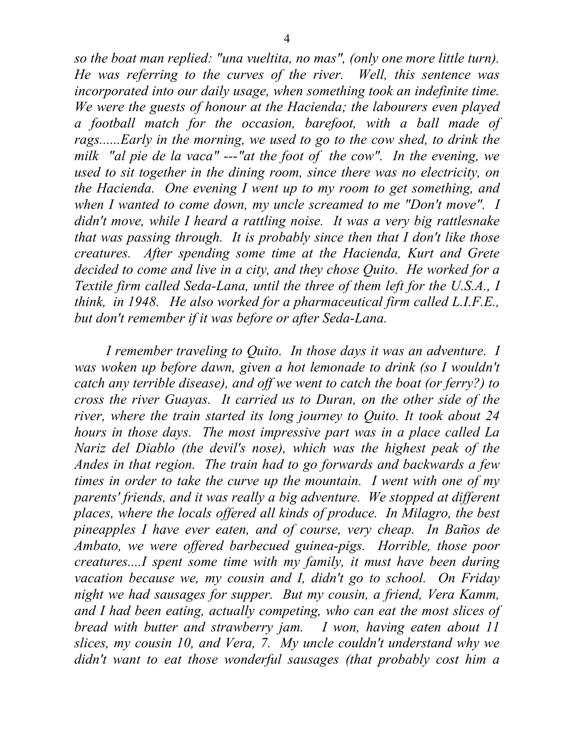*so the boat man replied: "una vueltita, no mas", (only one more little turn). He was referring to the curves of the river. Well, this sentence was incorporated into our daily usage, when something took an indefinite time. We were the guests of honour at the Hacienda; the labourers even played a football match for the occasion, barefoot, with a ball made of rags......Early in the morning, we used to go to the cow shed, to drink the milk "al pie de la vaca" ---"at the foot of the cow". In the evening, we used to sit together in the dining room, since there was no electricity, on the Hacienda. One evening I went up to my room to get something, and when I wanted to come down, my uncle screamed to me "Don't move". I didn't move, while I heard a rattling noise. It was a very big rattlesnake that was passing through. It is probably since then that I don't like those creatures. After spending some time at the Hacienda, Kurt and Grete decided to come and live in a city, and they chose Quito. He worked for a Textile firm called Seda-Lana, until the three of them left for the U.S.A., I think, in 1948. He also worked for a pharmaceutical firm called L.I.F.E., but don't remember if it was before or after Seda-Lana.* 

*I remember traveling to Quito. In those days it was an adventure. I was woken up before dawn, given a hot lemonade to drink (so I wouldn't catch any terrible disease), and off we went to catch the boat (or ferry?) to cross the river Guayas. It carried us to Duran, on the other side of the river, where the train started its long journey to Quito. It took about 24 hours in those days. The most impressive part was in a place called La Nariz del Diablo (the devil's nose), which was the highest peak of the Andes in that region. The train had to go forwards and backwards a few times in order to take the curve up the mountain. I went with one of my parents' friends, and it was really a big adventure. We stopped at different places, where the locals offered all kinds of produce. In Milagro, the best pineapples I have ever eaten, and of course, very cheap. In Baños de Ambato, we were offered barbecued guinea-pigs. Horrible, those poor creatures....I spent some time with my family, it must have been during vacation because we, my cousin and I, didn't go to school. On Friday night we had sausages for supper. But my cousin, a friend, Vera Kamm, and I had been eating, actually competing, who can eat the most slices of bread with butter and strawberry jam. I won, having eaten about 11 slices, my cousin 10, and Vera, 7. My uncle couldn't understand why we didn't want to eat those wonderful sausages (that probably cost him a*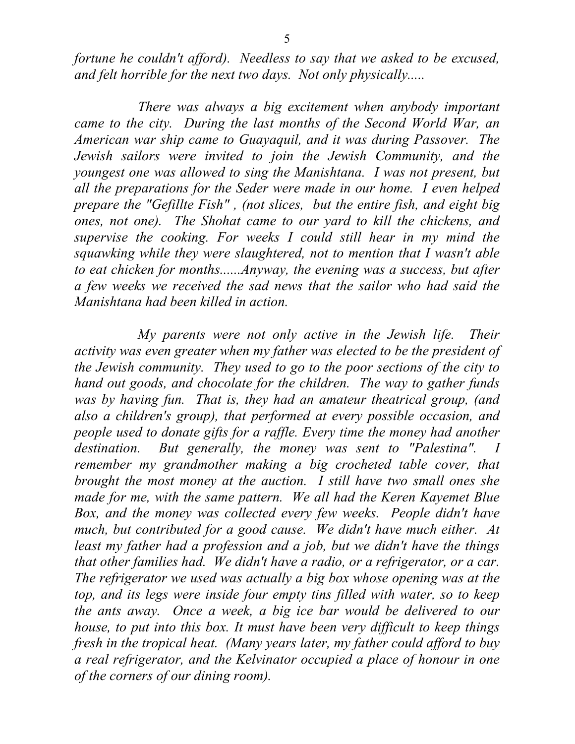*fortune he couldn't afford). Needless to say that we asked to be excused, and felt horrible for the next two days. Not only physically.....* 

 *There was always a big excitement when anybody important came to the city. During the last months of the Second World War, an American war ship came to Guayaquil, and it was during Passover. The Jewish sailors were invited to join the Jewish Community, and the youngest one was allowed to sing the Manishtana. I was not present, but all the preparations for the Seder were made in our home. I even helped prepare the "Gefillte Fish" , (not slices, but the entire fish, and eight big ones, not one). The Shohat came to our yard to kill the chickens, and supervise the cooking. For weeks I could still hear in my mind the squawking while they were slaughtered, not to mention that I wasn't able to eat chicken for months......Anyway, the evening was a success, but after a few weeks we received the sad news that the sailor who had said the Manishtana had been killed in action.* 

 *My parents were not only active in the Jewish life. Their activity was even greater when my father was elected to be the president of the Jewish community. They used to go to the poor sections of the city to hand out goods, and chocolate for the children. The way to gather funds was by having fun. That is, they had an amateur theatrical group, (and also a children's group), that performed at every possible occasion, and people used to donate gifts for a raffle. Every time the money had another destination. But generally, the money was sent to "Palestina". I remember my grandmother making a big crocheted table cover, that brought the most money at the auction. I still have two small ones she made for me, with the same pattern. We all had the Keren Kayemet Blue Box, and the money was collected every few weeks. People didn't have much, but contributed for a good cause. We didn't have much either. At least my father had a profession and a job, but we didn't have the things that other families had. We didn't have a radio, or a refrigerator, or a car. The refrigerator we used was actually a big box whose opening was at the top, and its legs were inside four empty tins filled with water, so to keep the ants away. Once a week, a big ice bar would be delivered to our house, to put into this box. It must have been very difficult to keep things fresh in the tropical heat. (Many years later, my father could afford to buy a real refrigerator, and the Kelvinator occupied a place of honour in one of the corners of our dining room).*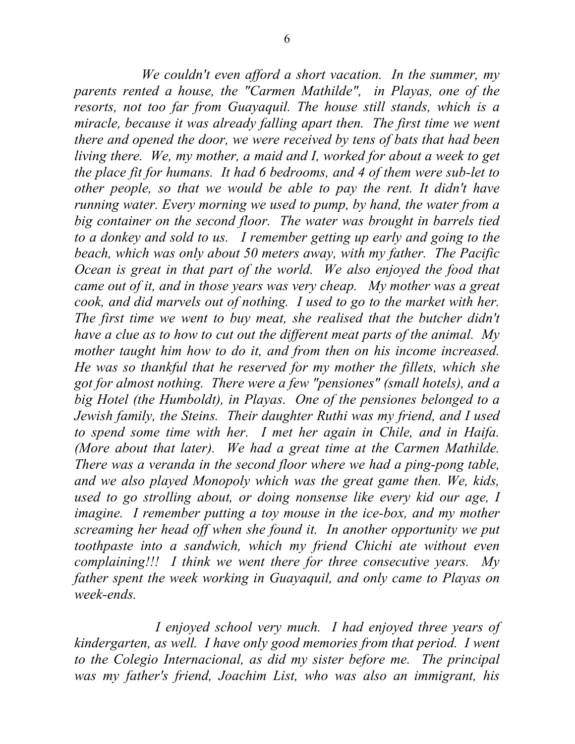*We couldn't even afford a short vacation. In the summer, my parents rented a house, the "Carmen Mathilde", in Playas, one of the resorts, not too far from Guayaquil. The house still stands, which is a miracle, because it was already falling apart then. The first time we went there and opened the door, we were received by tens of bats that had been living there. We, my mother, a maid and I, worked for about a week to get the place fit for humans. It had 6 bedrooms, and 4 of them were sub-let to other people, so that we would be able to pay the rent. It didn't have running water. Every morning we used to pump, by hand, the water from a big container on the second floor. The water was brought in barrels tied to a donkey and sold to us. I remember getting up early and going to the beach, which was only about 50 meters away, with my father. The Pacific Ocean is great in that part of the world. We also enjoyed the food that came out of it, and in those years was very cheap. My mother was a great cook, and did marvels out of nothing. I used to go to the market with her. The first time we went to buy meat, she realised that the butcher didn't have a clue as to how to cut out the different meat parts of the animal. My mother taught him how to do it, and from then on his income increased. He was so thankful that he reserved for my mother the fillets, which she got for almost nothing. There were a few "pensiones" (small hotels), and a big Hotel (the Humboldt), in Playas. One of the pensiones belonged to a Jewish family, the Steins. Their daughter Ruthi was my friend, and I used to spend some time with her. I met her again in Chile, and in Haifa. (More about that later). We had a great time at the Carmen Mathilde. There was a veranda in the second floor where we had a ping-pong table, and we also played Monopoly which was the great game then. We, kids, used to go strolling about, or doing nonsense like every kid our age, I imagine. I remember putting a toy mouse in the ice-box, and my mother screaming her head off when she found it. In another opportunity we put toothpaste into a sandwich, which my friend Chichi ate without even complaining!!! I think we went there for three consecutive years. My father spent the week working in Guayaquil, and only came to Playas on week-ends.* 

 *I enjoyed school very much. I had enjoyed three years of kindergarten, as well. I have only good memories from that period. I went to the Colegio Internacional, as did my sister before me. The principal was my father's friend, Joachim List, who was also an immigrant, his*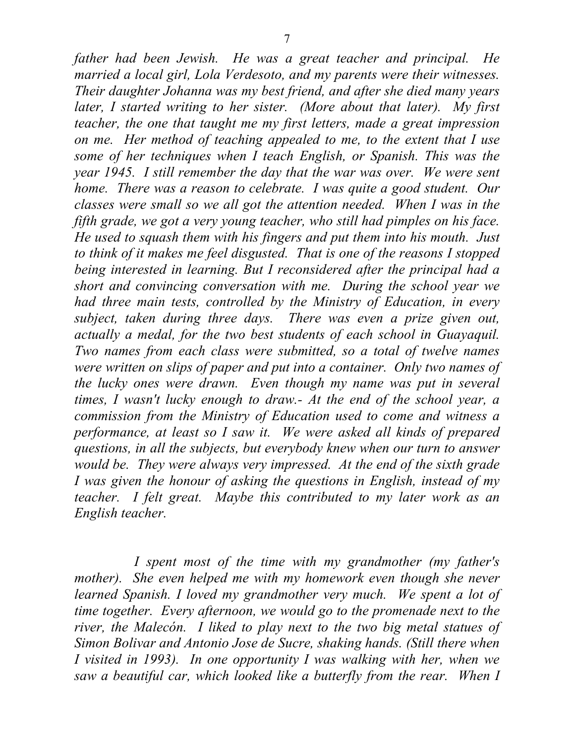*father had been Jewish. He was a great teacher and principal. He married a local girl, Lola Verdesoto, and my parents were their witnesses. Their daughter Johanna was my best friend, and after she died many years later, I started writing to her sister. (More about that later). My first teacher, the one that taught me my first letters, made a great impression on me. Her method of teaching appealed to me, to the extent that I use some of her techniques when I teach English, or Spanish. This was the year 1945. I still remember the day that the war was over. We were sent home. There was a reason to celebrate. I was quite a good student. Our classes were small so we all got the attention needed. When I was in the fifth grade, we got a very young teacher, who still had pimples on his face. He used to squash them with his fingers and put them into his mouth. Just to think of it makes me feel disgusted. That is one of the reasons I stopped being interested in learning. But I reconsidered after the principal had a short and convincing conversation with me. During the school year we had three main tests, controlled by the Ministry of Education, in every subject, taken during three days. There was even a prize given out, actually a medal, for the two best students of each school in Guayaquil. Two names from each class were submitted, so a total of twelve names were written on slips of paper and put into a container. Only two names of the lucky ones were drawn. Even though my name was put in several times, I wasn't lucky enough to draw.- At the end of the school year, a commission from the Ministry of Education used to come and witness a performance, at least so I saw it. We were asked all kinds of prepared questions, in all the subjects, but everybody knew when our turn to answer would be. They were always very impressed. At the end of the sixth grade I was given the honour of asking the questions in English, instead of my teacher. I felt great. Maybe this contributed to my later work as an English teacher.* 

 *I spent most of the time with my grandmother (my father's mother). She even helped me with my homework even though she never learned Spanish. I loved my grandmother very much. We spent a lot of time together. Every afternoon, we would go to the promenade next to the river, the Malecón. I liked to play next to the two big metal statues of Simon Bolivar and Antonio Jose de Sucre, shaking hands. (Still there when I visited in 1993). In one opportunity I was walking with her, when we saw a beautiful car, which looked like a butterfly from the rear. When I*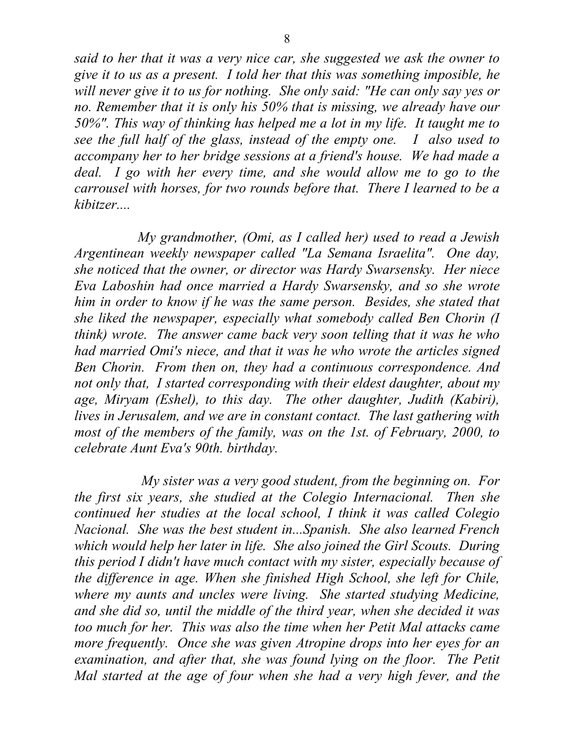*said to her that it was a very nice car, she suggested we ask the owner to give it to us as a present. I told her that this was something imposible, he will never give it to us for nothing. She only said: "He can only say yes or no. Remember that it is only his 50% that is missing, we already have our 50%". This way of thinking has helped me a lot in my life. It taught me to see the full half of the glass, instead of the empty one. I also used to accompany her to her bridge sessions at a friend's house. We had made a deal. I go with her every time, and she would allow me to go to the carrousel with horses, for two rounds before that. There I learned to be a kibitzer....* 

 *My grandmother, (Omi, as I called her) used to read a Jewish Argentinean weekly newspaper called "La Semana Israelita". One day, she noticed that the owner, or director was Hardy Swarsensky. Her niece Eva Laboshin had once married a Hardy Swarsensky, and so she wrote him in order to know if he was the same person. Besides, she stated that she liked the newspaper, especially what somebody called Ben Chorin (I think) wrote. The answer came back very soon telling that it was he who had married Omi's niece, and that it was he who wrote the articles signed Ben Chorin. From then on, they had a continuous correspondence. And not only that, I started corresponding with their eldest daughter, about my age, Miryam (Eshel), to this day. The other daughter, Judith (Kabiri), lives in Jerusalem, and we are in constant contact. The last gathering with*  most of the members of the family, was on the 1st. of February, 2000, to *celebrate Aunt Eva's 90th. birthday.* 

 *My sister was a very good student, from the beginning on. For the first six years, she studied at the Colegio Internacional. Then she continued her studies at the local school, I think it was called Colegio Nacional. She was the best student in...Spanish. She also learned French which would help her later in life. She also joined the Girl Scouts. During this period I didn't have much contact with my sister, especially because of the difference in age. When she finished High School, she left for Chile, where my aunts and uncles were living. She started studying Medicine, and she did so, until the middle of the third year, when she decided it was too much for her. This was also the time when her Petit Mal attacks came more frequently. Once she was given Atropine drops into her eyes for an examination, and after that, she was found lying on the floor. The Petit Mal started at the age of four when she had a very high fever, and the*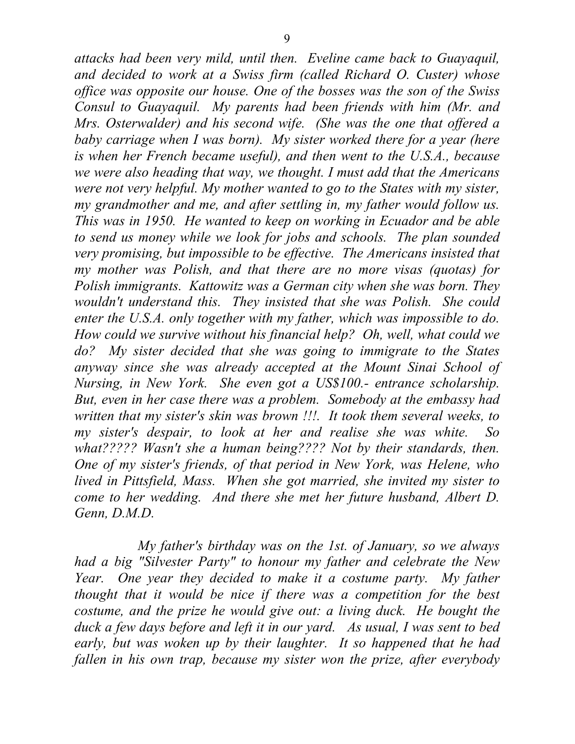*attacks had been very mild, until then. Eveline came back to Guayaquil, and decided to work at a Swiss firm (called Richard O. Custer) whose office was opposite our house. One of the bosses was the son of the Swiss Consul to Guayaquil. My parents had been friends with him (Mr. and Mrs. Osterwalder) and his second wife. (She was the one that offered a baby carriage when I was born). My sister worked there for a year (here is when her French became useful), and then went to the U.S.A., because we were also heading that way, we thought. I must add that the Americans were not very helpful. My mother wanted to go to the States with my sister, my grandmother and me, and after settling in, my father would follow us. This was in 1950. He wanted to keep on working in Ecuador and be able to send us money while we look for jobs and schools. The plan sounded very promising, but impossible to be effective. The Americans insisted that my mother was Polish, and that there are no more visas (quotas) for Polish immigrants. Kattowitz was a German city when she was born. They wouldn't understand this. They insisted that she was Polish. She could enter the U.S.A. only together with my father, which was impossible to do. How could we survive without his financial help? Oh, well, what could we do? My sister decided that she was going to immigrate to the States anyway since she was already accepted at the Mount Sinai School of Nursing, in New York. She even got a US\$100.- entrance scholarship. But, even in her case there was a problem. Somebody at the embassy had written that my sister's skin was brown !!!. It took them several weeks, to my sister's despair, to look at her and realise she was white. So what????? Wasn't she a human being???? Not by their standards, then. One of my sister's friends, of that period in New York, was Helene, who lived in Pittsfield, Mass. When she got married, she invited my sister to come to her wedding. And there she met her future husband, Albert D. Genn, D.M.D.* 

 *My father's birthday was on the 1st. of January, so we always had a big "Silvester Party" to honour my father and celebrate the New Year. One year they decided to make it a costume party. My father thought that it would be nice if there was a competition for the best costume, and the prize he would give out: a living duck. He bought the duck a few days before and left it in our yard. As usual, I was sent to bed early, but was woken up by their laughter. It so happened that he had fallen in his own trap, because my sister won the prize, after everybody*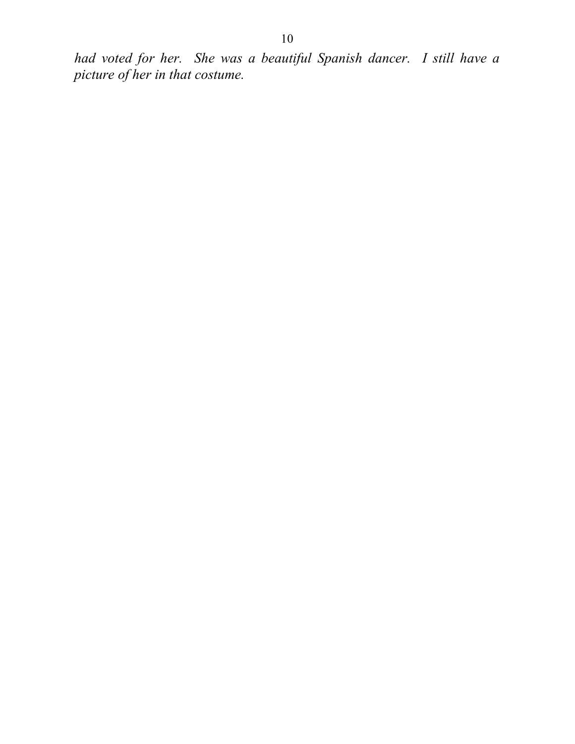*had voted for her. She was a beautiful Spanish dancer. I still have a picture of her in that costume.*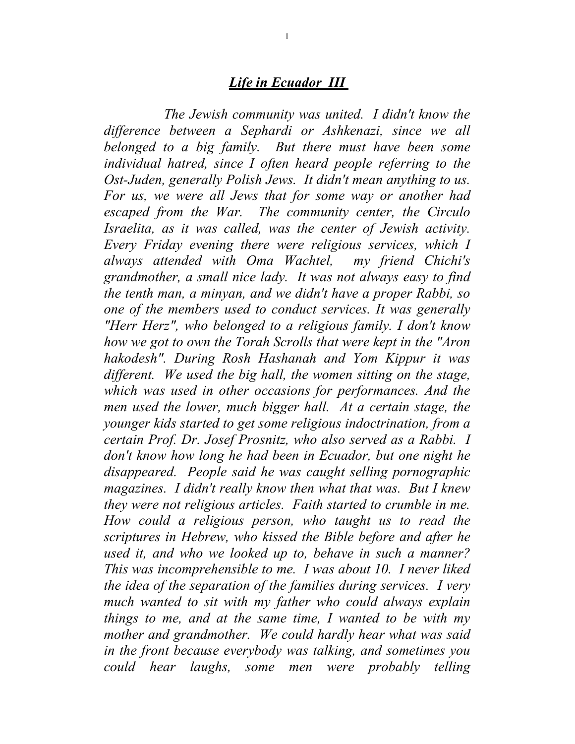### *Life in Ecuador III*

 *The Jewish community was united. I didn't know the difference between a Sephardi or Ashkenazi, since we all belonged to a big family. But there must have been some individual hatred, since I often heard people referring to the Ost-Juden, generally Polish Jews. It didn't mean anything to us. For us, we were all Jews that for some way or another had escaped from the War. The community center, the Circulo Israelita, as it was called, was the center of Jewish activity. Every Friday evening there were religious services, which I always attended with Oma Wachtel, my friend Chichi's grandmother, a small nice lady. It was not always easy to find the tenth man, a minyan, and we didn't have a proper Rabbi, so one of the members used to conduct services. It was generally "Herr Herz", who belonged to a religious family. I don't know how we got to own the Torah Scrolls that were kept in the "Aron hakodesh". During Rosh Hashanah and Yom Kippur it was different. We used the big hall, the women sitting on the stage, which was used in other occasions for performances. And the men used the lower, much bigger hall. At a certain stage, the younger kids started to get some religious indoctrination, from a certain Prof. Dr. Josef Prosnitz, who also served as a Rabbi. I don't know how long he had been in Ecuador, but one night he disappeared. People said he was caught selling pornographic magazines. I didn't really know then what that was. But I knew they were not religious articles. Faith started to crumble in me. How could a religious person, who taught us to read the scriptures in Hebrew, who kissed the Bible before and after he used it, and who we looked up to, behave in such a manner? This was incomprehensible to me. I was about 10. I never liked the idea of the separation of the families during services. I very much wanted to sit with my father who could always explain things to me, and at the same time, I wanted to be with my mother and grandmother. We could hardly hear what was said in the front because everybody was talking, and sometimes you could hear laughs, some men were probably telling*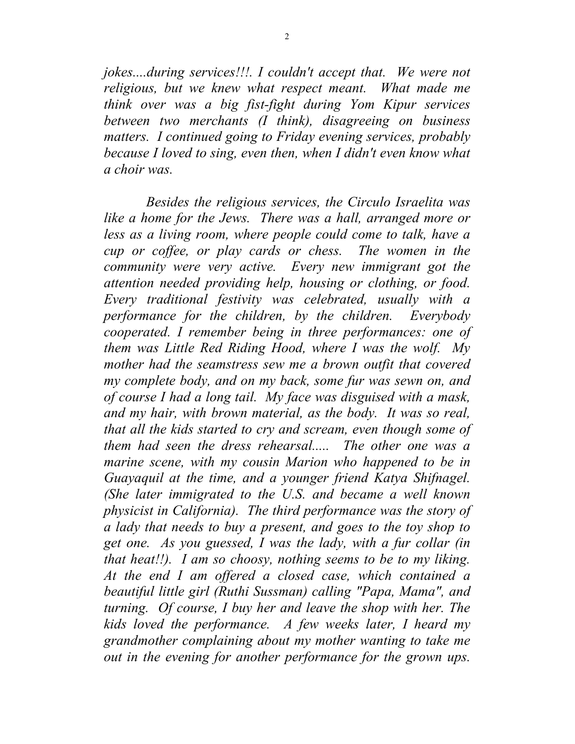*jokes....during services!!!. I couldn't accept that. We were not religious, but we knew what respect meant. What made me think over was a big fist-fight during Yom Kipur services between two merchants (I think), disagreeing on business matters. I continued going to Friday evening services, probably because I loved to sing, even then, when I didn't even know what a choir was.* 

 *Besides the religious services, the Circulo Israelita was like a home for the Jews. There was a hall, arranged more or less as a living room, where people could come to talk, have a cup or coffee, or play cards or chess. The women in the community were very active. Every new immigrant got the attention needed providing help, housing or clothing, or food. Every traditional festivity was celebrated, usually with a performance for the children, by the children. Everybody cooperated. I remember being in three performances: one of them was Little Red Riding Hood, where I was the wolf. My mother had the seamstress sew me a brown outfit that covered my complete body, and on my back, some fur was sewn on, and of course I had a long tail. My face was disguised with a mask, and my hair, with brown material, as the body. It was so real, that all the kids started to cry and scream, even though some of them had seen the dress rehearsal..... The other one was a marine scene, with my cousin Marion who happened to be in Guayaquil at the time, and a younger friend Katya Shifnagel. (She later immigrated to the U.S. and became a well known physicist in California). The third performance was the story of a lady that needs to buy a present, and goes to the toy shop to get one. As you guessed, I was the lady, with a fur collar (in that heat!!). I am so choosy, nothing seems to be to my liking. At the end I am offered a closed case, which contained a beautiful little girl (Ruthi Sussman) calling "Papa, Mama", and turning. Of course, I buy her and leave the shop with her. The kids loved the performance. A few weeks later, I heard my grandmother complaining about my mother wanting to take me out in the evening for another performance for the grown ups.*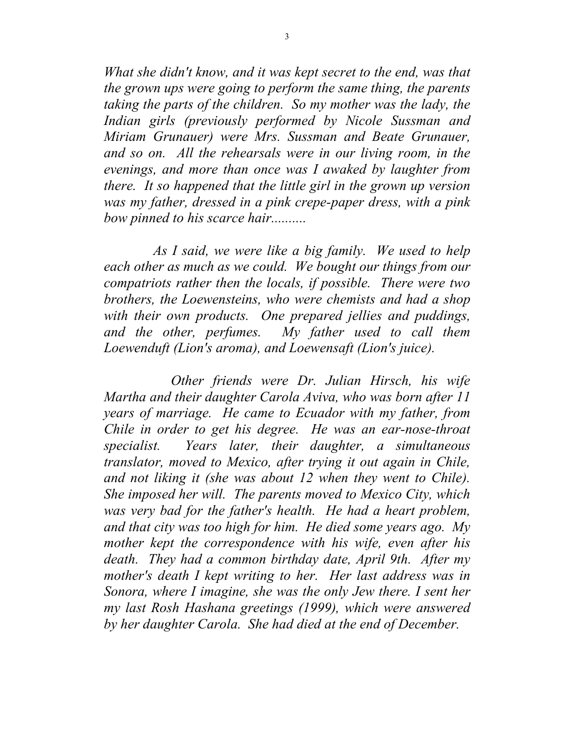*What she didn't know, and it was kept secret to the end, was that the grown ups were going to perform the same thing, the parents taking the parts of the children. So my mother was the lady, the Indian girls (previously performed by Nicole Sussman and Miriam Grunauer) were Mrs. Sussman and Beate Grunauer, and so on. All the rehearsals were in our living room, in the evenings, and more than once was I awaked by laughter from there. It so happened that the little girl in the grown up version was my father, dressed in a pink crepe-paper dress, with a pink bow pinned to his scarce hair..........* 

 *As I said, we were like a big family. We used to help each other as much as we could. We bought our things from our compatriots rather then the locals, if possible. There were two brothers, the Loewensteins, who were chemists and had a shop with their own products. One prepared jellies and puddings, and the other, perfumes. My father used to call them Loewenduft (Lion's aroma), and Loewensaft (Lion's juice).* 

 *Other friends were Dr. Julian Hirsch, his wife Martha and their daughter Carola Aviva, who was born after 11 years of marriage. He came to Ecuador with my father, from Chile in order to get his degree. He was an ear-nose-throat specialist. Years later, their daughter, a simultaneous translator, moved to Mexico, after trying it out again in Chile, and not liking it (she was about 12 when they went to Chile). She imposed her will. The parents moved to Mexico City, which was very bad for the father's health. He had a heart problem, and that city was too high for him. He died some years ago. My mother kept the correspondence with his wife, even after his death. They had a common birthday date, April 9th. After my mother's death I kept writing to her. Her last address was in Sonora, where I imagine, she was the only Jew there. I sent her my last Rosh Hashana greetings (1999), which were answered by her daughter Carola. She had died at the end of December.*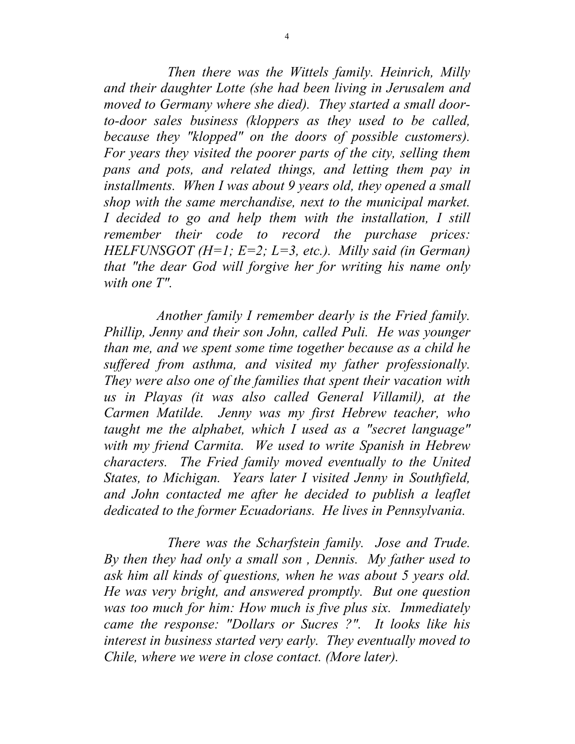*Then there was the Wittels family. Heinrich, Milly and their daughter Lotte (she had been living in Jerusalem and moved to Germany where she died). They started a small doorto-door sales business (kloppers as they used to be called, because they "klopped" on the doors of possible customers). For years they visited the poorer parts of the city, selling them pans and pots, and related things, and letting them pay in installments. When I was about 9 years old, they opened a small shop with the same merchandise, next to the municipal market. I decided to go and help them with the installation, I still remember their code to record the purchase prices: HELFUNSGOT (H=1; E=2; L=3, etc.). Milly said (in German) that "the dear God will forgive her for writing his name only with one T".* 

 *Another family I remember dearly is the Fried family. Phillip, Jenny and their son John, called Puli. He was younger than me, and we spent some time together because as a child he suffered from asthma, and visited my father professionally. They were also one of the families that spent their vacation with us in Playas (it was also called General Villamil), at the Carmen Matilde. Jenny was my first Hebrew teacher, who taught me the alphabet, which I used as a "secret language" with my friend Carmita. We used to write Spanish in Hebrew characters. The Fried family moved eventually to the United States, to Michigan. Years later I visited Jenny in Southfield, and John contacted me after he decided to publish a leaflet dedicated to the former Ecuadorians. He lives in Pennsylvania.* 

 *There was the Scharfstein family. Jose and Trude. By then they had only a small son , Dennis. My father used to ask him all kinds of questions, when he was about 5 years old. He was very bright, and answered promptly. But one question was too much for him: How much is five plus six. Immediately came the response: "Dollars or Sucres ?". It looks like his interest in business started very early. They eventually moved to Chile, where we were in close contact. (More later).*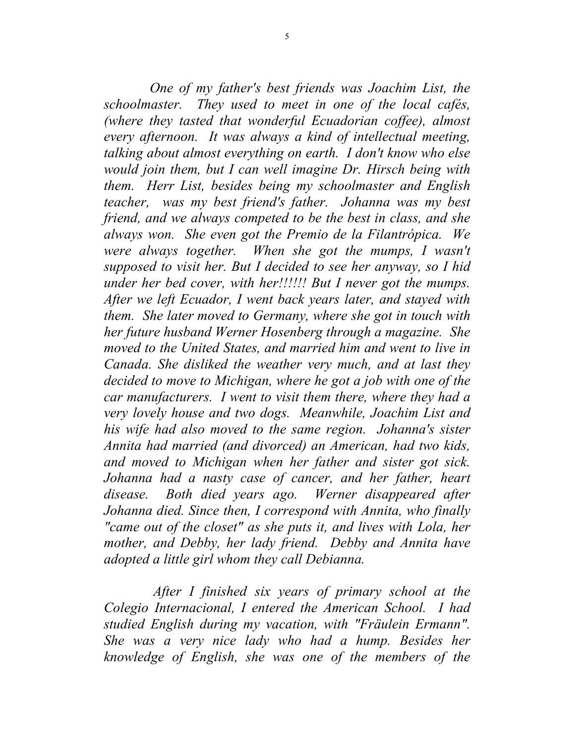*One of my father's best friends was Joachim List, the schoolmaster. They used to meet in one of the local cafés, (where they tasted that wonderful Ecuadorian coffee), almost every afternoon. It was always a kind of intellectual meeting, talking about almost everything on earth. I don't know who else would join them, but I can well imagine Dr. Hirsch being with them. Herr List, besides being my schoolmaster and English teacher, was my best friend's father. Johanna was my best friend, and we always competed to be the best in class, and she always won. She even got the Premio de la Filantrópica. We were always together. When she got the mumps, I wasn't supposed to visit her. But I decided to see her anyway, so I hid under her bed cover, with her!!!!!! But I never got the mumps. After we left Ecuador, I went back years later, and stayed with them. She later moved to Germany, where she got in touch with her future husband Werner Hosenberg through a magazine. She moved to the United States, and married him and went to live in Canada. She disliked the weather very much, and at last they decided to move to Michigan, where he got a job with one of the car manufacturers. I went to visit them there, where they had a very lovely house and two dogs. Meanwhile, Joachim List and his wife had also moved to the same region. Johanna's sister Annita had married (and divorced) an American, had two kids, and moved to Michigan when her father and sister got sick. Johanna had a nasty case of cancer, and her father, heart disease. Both died years ago. Werner disappeared after Johanna died. Since then, I correspond with Annita, who finally "came out of the closet" as she puts it, and lives with Lola, her mother, and Debby, her lady friend. Debby and Annita have adopted a little girl whom they call Debianna.* 

 *After I finished six years of primary school at the Colegio Internacional, I entered the American School. I had studied English during my vacation, with "Fräulein Ermann". She was a very nice lady who had a hump. Besides her knowledge of English, she was one of the members of the*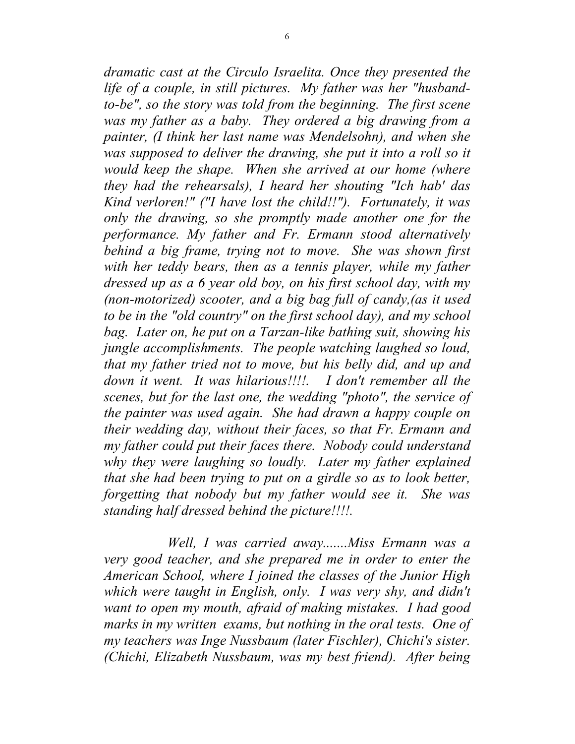*dramatic cast at the Circulo Israelita. Once they presented the life of a couple, in still pictures. My father was her "husbandto-be", so the story was told from the beginning. The first scene was my father as a baby. They ordered a big drawing from a painter, (I think her last name was Mendelsohn), and when she was supposed to deliver the drawing, she put it into a roll so it would keep the shape. When she arrived at our home (where they had the rehearsals), I heard her shouting "Ich hab' das Kind verloren!" ("I have lost the child!!"). Fortunately, it was only the drawing, so she promptly made another one for the performance. My father and Fr. Ermann stood alternatively behind a big frame, trying not to move. She was shown first*  with her teddy bears, then as a tennis player, while my father *dressed up as a 6 year old boy, on his first school day, with my (non-motorized) scooter, and a big bag full of candy,(as it used to be in the "old country" on the first school day), and my school bag. Later on, he put on a Tarzan-like bathing suit, showing his jungle accomplishments. The people watching laughed so loud, that my father tried not to move, but his belly did, and up and down it went. It was hilarious!!!!. I don't remember all the scenes, but for the last one, the wedding "photo", the service of the painter was used again. She had drawn a happy couple on their wedding day, without their faces, so that Fr. Ermann and my father could put their faces there. Nobody could understand why they were laughing so loudly. Later my father explained that she had been trying to put on a girdle so as to look better, forgetting that nobody but my father would see it. She was standing half dressed behind the picture!!!!.* 

 *Well, I was carried away.......Miss Ermann was a very good teacher, and she prepared me in order to enter the American School, where I joined the classes of the Junior High which were taught in English, only. I was very shy, and didn't want to open my mouth, afraid of making mistakes. I had good marks in my written exams, but nothing in the oral tests. One of my teachers was Inge Nussbaum (later Fischler), Chichi's sister. (Chichi, Elizabeth Nussbaum, was my best friend). After being*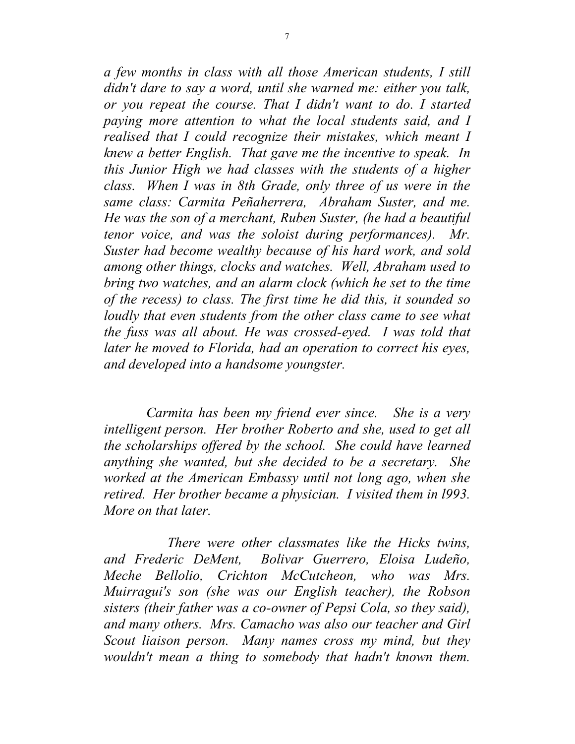*a few months in class with all those American students, I still didn't dare to say a word, until she warned me: either you talk, or you repeat the course. That I didn't want to do. I started paying more attention to what the local students said, and I realised that I could recognize their mistakes, which meant I knew a better English. That gave me the incentive to speak. In this Junior High we had classes with the students of a higher class. When I was in 8th Grade, only three of us were in the same class: Carmita Peñaherrera, Abraham Suster, and me. He was the son of a merchant, Ruben Suster, (he had a beautiful tenor voice, and was the soloist during performances). Mr. Suster had become wealthy because of his hard work, and sold among other things, clocks and watches. Well, Abraham used to bring two watches, and an alarm clock (which he set to the time of the recess) to class. The first time he did this, it sounded so loudly that even students from the other class came to see what the fuss was all about. He was crossed-eyed. I was told that later he moved to Florida, had an operation to correct his eyes, and developed into a handsome youngster.* 

 *Carmita has been my friend ever since. She is a very intelligent person. Her brother Roberto and she, used to get all the scholarships offered by the school. She could have learned anything she wanted, but she decided to be a secretary. She worked at the American Embassy until not long ago, when she retired. Her brother became a physician. I visited them in l993. More on that later.* 

 *There were other classmates like the Hicks twins, and Frederic DeMent, Bolivar Guerrero, Eloisa Ludeño, Meche Bellolio, Crichton McCutcheon, who was Mrs. Muirragui's son (she was our English teacher), the Robson sisters (their father was a co-owner of Pepsi Cola, so they said), and many others. Mrs. Camacho was also our teacher and Girl Scout liaison person. Many names cross my mind, but they wouldn't mean a thing to somebody that hadn't known them.*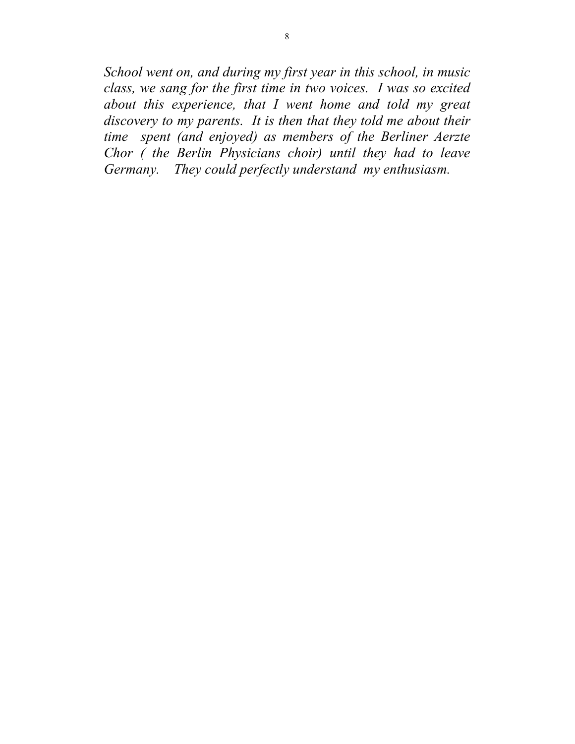*School went on, and during my first year in this school, in music class, we sang for the first time in two voices. I was so excited about this experience, that I went home and told my great discovery to my parents. It is then that they told me about their time spent (and enjoyed) as members of the Berliner Aerzte Chor ( the Berlin Physicians choir) until they had to leave Germany. They could perfectly understand my enthusiasm.*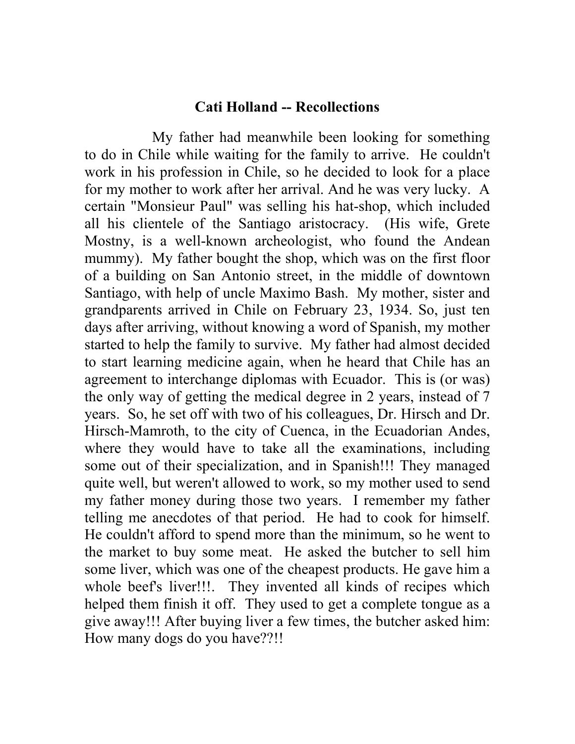## **Cati Holland -- Recollections**

My father had meanwhile been looking for something to do in Chile while waiting for the family to arrive. He couldn't work in his profession in Chile, so he decided to look for a place for my mother to work after her arrival. And he was very lucky. A certain "Monsieur Paul" was selling his hat-shop, which included all his clientele of the Santiago aristocracy. (His wife, Grete Mostny, is a well-known archeologist, who found the Andean mummy). My father bought the shop, which was on the first floor of a building on San Antonio street, in the middle of downtown Santiago, with help of uncle Maximo Bash. My mother, sister and grandparents arrived in Chile on February 23, 1934. So, just ten days after arriving, without knowing a word of Spanish, my mother started to help the family to survive. My father had almost decided to start learning medicine again, when he heard that Chile has an agreement to interchange diplomas with Ecuador. This is (or was) the only way of getting the medical degree in 2 years, instead of 7 years. So, he set off with two of his colleagues, Dr. Hirsch and Dr. Hirsch-Mamroth, to the city of Cuenca, in the Ecuadorian Andes, where they would have to take all the examinations, including some out of their specialization, and in Spanish!!! They managed quite well, but weren't allowed to work, so my mother used to send my father money during those two years. I remember my father telling me anecdotes of that period. He had to cook for himself. He couldn't afford to spend more than the minimum, so he went to the market to buy some meat. He asked the butcher to sell him some liver, which was one of the cheapest products. He gave him a whole beef's liver!!!. They invented all kinds of recipes which helped them finish it off. They used to get a complete tongue as a give away!!! After buying liver a few times, the butcher asked him: How many dogs do you have??!!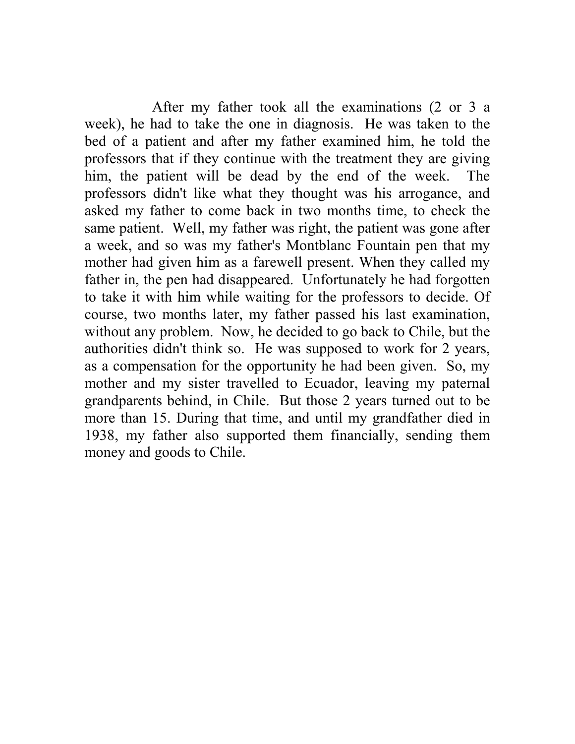After my father took all the examinations (2 or 3 a week), he had to take the one in diagnosis. He was taken to the bed of a patient and after my father examined him, he told the professors that if they continue with the treatment they are giving him, the patient will be dead by the end of the week. The professors didn't like what they thought was his arrogance, and asked my father to come back in two months time, to check the same patient. Well, my father was right, the patient was gone after a week, and so was my father's Montblanc Fountain pen that my mother had given him as a farewell present. When they called my father in, the pen had disappeared. Unfortunately he had forgotten to take it with him while waiting for the professors to decide. Of course, two months later, my father passed his last examination, without any problem. Now, he decided to go back to Chile, but the authorities didn't think so. He was supposed to work for 2 years, as a compensation for the opportunity he had been given. So, my mother and my sister travelled to Ecuador, leaving my paternal grandparents behind, in Chile. But those 2 years turned out to be more than 15. During that time, and until my grandfather died in 1938, my father also supported them financially, sending them money and goods to Chile.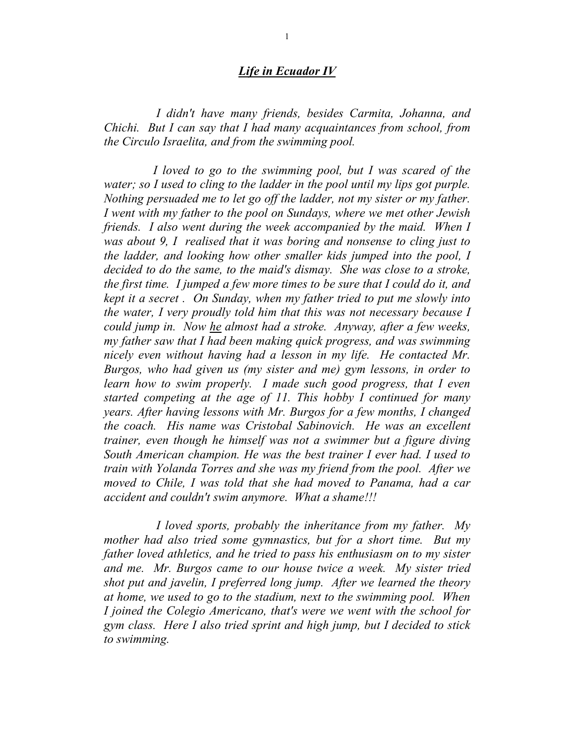#### *Life in Ecuador IV*

 *I didn't have many friends, besides Carmita, Johanna, and Chichi. But I can say that I had many acquaintances from school, from the Circulo Israelita, and from the swimming pool.* 

 *I loved to go to the swimming pool, but I was scared of the water; so I used to cling to the ladder in the pool until my lips got purple. Nothing persuaded me to let go off the ladder, not my sister or my father. I went with my father to the pool on Sundays, where we met other Jewish friends. I also went during the week accompanied by the maid. When I was about 9, I realised that it was boring and nonsense to cling just to the ladder, and looking how other smaller kids jumped into the pool, I decided to do the same, to the maid's dismay. She was close to a stroke, the first time. I jumped a few more times to be sure that I could do it, and kept it a secret . On Sunday, when my father tried to put me slowly into the water, I very proudly told him that this was not necessary because I could jump in. Now he almost had a stroke. Anyway, after a few weeks, my father saw that I had been making quick progress, and was swimming nicely even without having had a lesson in my life. He contacted Mr. Burgos, who had given us (my sister and me) gym lessons, in order to learn how to swim properly. I made such good progress, that I even started competing at the age of 11. This hobby I continued for many years. After having lessons with Mr. Burgos for a few months, I changed the coach. His name was Cristobal Sabinovich. He was an excellent trainer, even though he himself was not a swimmer but a figure diving South American champion. He was the best trainer I ever had. I used to train with Yolanda Torres and she was my friend from the pool. After we moved to Chile, I was told that she had moved to Panama, had a car accident and couldn't swim anymore. What a shame!!!* 

 *I loved sports, probably the inheritance from my father. My mother had also tried some gymnastics, but for a short time. But my father loved athletics, and he tried to pass his enthusiasm on to my sister and me. Mr. Burgos came to our house twice a week. My sister tried shot put and javelin, I preferred long jump. After we learned the theory at home, we used to go to the stadium, next to the swimming pool. When I joined the Colegio Americano, that's were we went with the school for gym class. Here I also tried sprint and high jump, but I decided to stick to swimming.*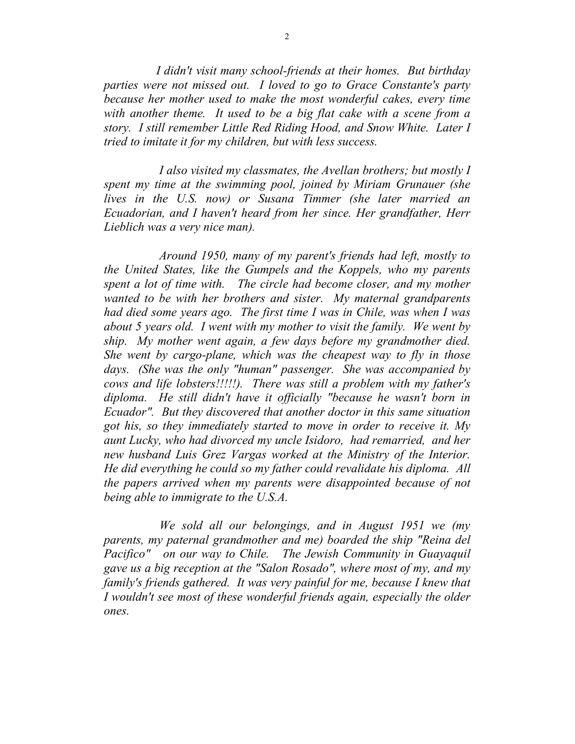*I didn't visit many school-friends at their homes. But birthday parties were not missed out. I loved to go to Grace Constante's party because her mother used to make the most wonderful cakes, every time with another theme. It used to be a big flat cake with a scene from a story. I still remember Little Red Riding Hood, and Snow White. Later I tried to imitate it for my children, but with less success.* 

 *I also visited my classmates, the Avellan brothers; but mostly I spent my time at the swimming pool, joined by Miriam Grunauer (she lives in the U.S. now) or Susana Timmer (she later married an Ecuadorian, and I haven't heard from her since. Her grandfather, Herr Lieblich was a very nice man).* 

 *Around 1950, many of my parent's friends had left, mostly to the United States, like the Gumpels and the Koppels, who my parents spent a lot of time with. The circle had become closer, and my mother wanted to be with her brothers and sister. My maternal grandparents had died some years ago. The first time I was in Chile, was when I was about 5 years old. I went with my mother to visit the family. We went by ship. My mother went again, a few days before my grandmother died. She went by cargo-plane, which was the cheapest way to fly in those days. (She was the only "human" passenger. She was accompanied by cows and life lobsters!!!!!). There was still a problem with my father's diploma. He still didn't have it officially "because he wasn't born in Ecuador". But they discovered that another doctor in this same situation got his, so they immediately started to move in order to receive it. My aunt Lucky, who had divorced my uncle Isidoro, had remarried, and her new husband Luis Grez Vargas worked at the Ministry of the Interior. He did everything he could so my father could revalidate his diploma. All the papers arrived when my parents were disappointed because of not being able to immigrate to the U.S.A.* 

 *We sold all our belongings, and in August 1951 we (my parents, my paternal grandmother and me) boarded the ship "Reina del Pacifico" on our way to Chile. The Jewish Community in Guayaquil gave us a big reception at the "Salon Rosado", where most of my, and my family's friends gathered. It was very painful for me, because I knew that I wouldn't see most of these wonderful friends again, especially the older ones.*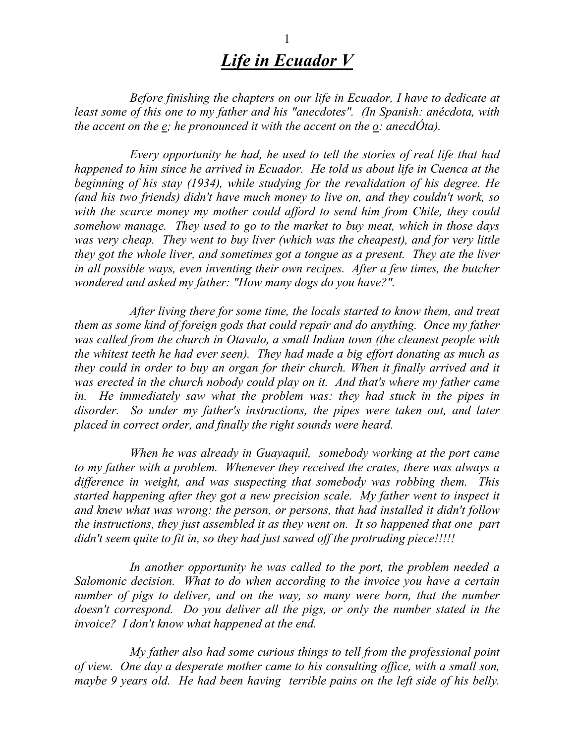# *Life in Ecuador V*

 *Before finishing the chapters on our life in Ecuador, I have to dedicate at least some of this one to my father and his "anecdotes". (In Spanish: anécdota, with the accent on the e; he pronounced it with the accent on the o: anecdÓta).* 

 *Every opportunity he had, he used to tell the stories of real life that had happened to him since he arrived in Ecuador. He told us about life in Cuenca at the beginning of his stay (1934), while studying for the revalidation of his degree. He (and his two friends) didn't have much money to live on, and they couldn't work, so with the scarce money my mother could afford to send him from Chile, they could somehow manage. They used to go to the market to buy meat, which in those days was very cheap. They went to buy liver (which was the cheapest), and for very little they got the whole liver, and sometimes got a tongue as a present. They ate the liver in all possible ways, even inventing their own recipes. After a few times, the butcher wondered and asked my father: "How many dogs do you have?".* 

 *After living there for some time, the locals started to know them, and treat them as some kind of foreign gods that could repair and do anything. Once my father was called from the church in Otavalo, a small Indian town (the cleanest people with the whitest teeth he had ever seen). They had made a big effort donating as much as they could in order to buy an organ for their church. When it finally arrived and it was erected in the church nobody could play on it. And that's where my father came in.* He immediately saw what the problem was: they had stuck in the pipes in *disorder. So under my father's instructions, the pipes were taken out, and later placed in correct order, and finally the right sounds were heard.* 

 *When he was already in Guayaquil, somebody working at the port came to my father with a problem. Whenever they received the crates, there was always a difference in weight, and was suspecting that somebody was robbing them. This started happening after they got a new precision scale. My father went to inspect it and knew what was wrong: the person, or persons, that had installed it didn't follow the instructions, they just assembled it as they went on. It so happened that one part didn't seem quite to fit in, so they had just sawed off the protruding piece!!!!!* 

 *In another opportunity he was called to the port, the problem needed a Salomonic decision. What to do when according to the invoice you have a certain number of pigs to deliver, and on the way, so many were born, that the number doesn't correspond. Do you deliver all the pigs, or only the number stated in the invoice? I don't know what happened at the end.* 

 *My father also had some curious things to tell from the professional point of view. One day a desperate mother came to his consulting office, with a small son, maybe 9 years old. He had been having terrible pains on the left side of his belly.*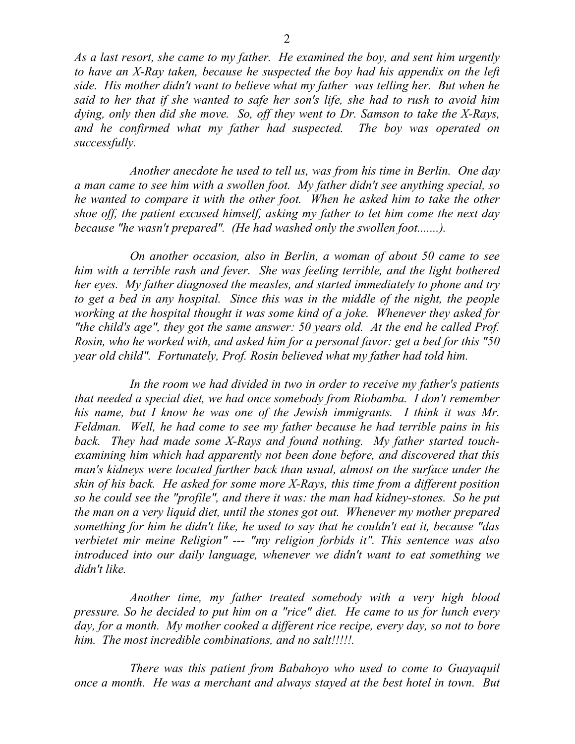*As a last resort, she came to my father. He examined the boy, and sent him urgently to have an X-Ray taken, because he suspected the boy had his appendix on the left side. His mother didn't want to believe what my father was telling her. But when he said to her that if she wanted to safe her son's life, she had to rush to avoid him dying, only then did she move. So, off they went to Dr. Samson to take the X-Rays, and he confirmed what my father had suspected. The boy was operated on successfully.* 

 *Another anecdote he used to tell us, was from his time in Berlin. One day a man came to see him with a swollen foot. My father didn't see anything special, so he wanted to compare it with the other foot. When he asked him to take the other shoe off, the patient excused himself, asking my father to let him come the next day because "he wasn't prepared". (He had washed only the swollen foot.......).* 

 *On another occasion, also in Berlin, a woman of about 50 came to see him with a terrible rash and fever. She was feeling terrible, and the light bothered her eyes. My father diagnosed the measles, and started immediately to phone and try to get a bed in any hospital. Since this was in the middle of the night, the people working at the hospital thought it was some kind of a joke. Whenever they asked for "the child's age", they got the same answer: 50 years old. At the end he called Prof. Rosin, who he worked with, and asked him for a personal favor: get a bed for this "50 year old child". Fortunately, Prof. Rosin believed what my father had told him.* 

 *In the room we had divided in two in order to receive my father's patients that needed a special diet, we had once somebody from Riobamba. I don't remember his name, but I know he was one of the Jewish immigrants. I think it was Mr. Feldman. Well, he had come to see my father because he had terrible pains in his back. They had made some X-Rays and found nothing. My father started touchexamining him which had apparently not been done before, and discovered that this man's kidneys were located further back than usual, almost on the surface under the skin of his back. He asked for some more X-Rays, this time from a different position so he could see the "profile", and there it was: the man had kidney-stones. So he put the man on a very liquid diet, until the stones got out. Whenever my mother prepared something for him he didn't like, he used to say that he couldn't eat it, because "das verbietet mir meine Religion" --- "my religion forbids it". This sentence was also introduced into our daily language, whenever we didn't want to eat something we didn't like.* 

 *Another time, my father treated somebody with a very high blood pressure. So he decided to put him on a "rice" diet. He came to us for lunch every day, for a month. My mother cooked a different rice recipe, every day, so not to bore him. The most incredible combinations, and no salt!!!!!.* 

 *There was this patient from Babahoyo who used to come to Guayaquil once a month. He was a merchant and always stayed at the best hotel in town. But*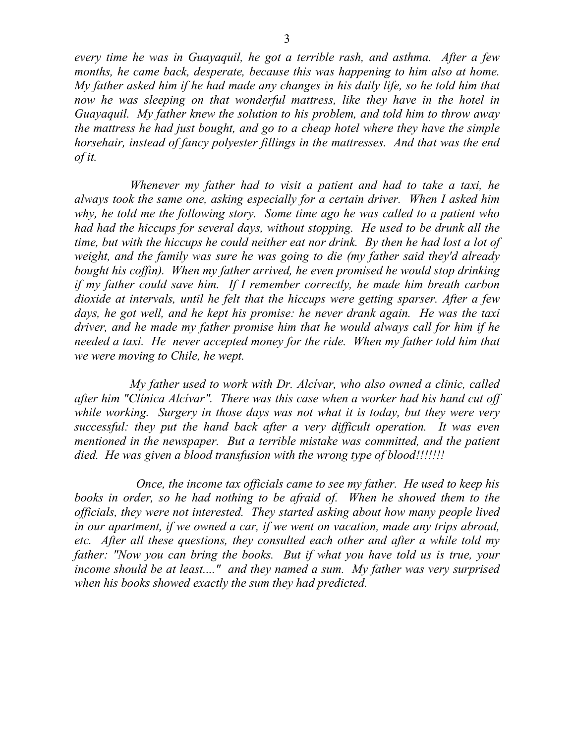*every time he was in Guayaquil, he got a terrible rash, and asthma. After a few months, he came back, desperate, because this was happening to him also at home. My father asked him if he had made any changes in his daily life, so he told him that now he was sleeping on that wonderful mattress, like they have in the hotel in Guayaquil. My father knew the solution to his problem, and told him to throw away the mattress he had just bought, and go to a cheap hotel where they have the simple horsehair, instead of fancy polyester fillings in the mattresses. And that was the end of it.* 

 *Whenever my father had to visit a patient and had to take a taxi, he always took the same one, asking especially for a certain driver. When I asked him why, he told me the following story. Some time ago he was called to a patient who had had the hiccups for several days, without stopping. He used to be drunk all the time, but with the hiccups he could neither eat nor drink. By then he had lost a lot of weight, and the family was sure he was going to die (my father said they'd already bought his coffin). When my father arrived, he even promised he would stop drinking if my father could save him. If I remember correctly, he made him breath carbon dioxide at intervals, until he felt that the hiccups were getting sparser. After a few days, he got well, and he kept his promise: he never drank again. He was the taxi driver, and he made my father promise him that he would always call for him if he needed a taxi. He never accepted money for the ride. When my father told him that we were moving to Chile, he wept.* 

 *My father used to work with Dr. Alcívar, who also owned a clinic, called after him "Clínica Alcívar". There was this case when a worker had his hand cut off while working. Surgery in those days was not what it is today, but they were very successful: they put the hand back after a very difficult operation. It was even mentioned in the newspaper. But a terrible mistake was committed, and the patient died. He was given a blood transfusion with the wrong type of blood!!!!!!!* 

 *Once, the income tax officials came to see my father. He used to keep his books in order, so he had nothing to be afraid of. When he showed them to the officials, they were not interested. They started asking about how many people lived in our apartment, if we owned a car, if we went on vacation, made any trips abroad, etc. After all these questions, they consulted each other and after a while told my father: "Now you can bring the books. But if what you have told us is true, your income should be at least...." and they named a sum. My father was very surprised when his books showed exactly the sum they had predicted.*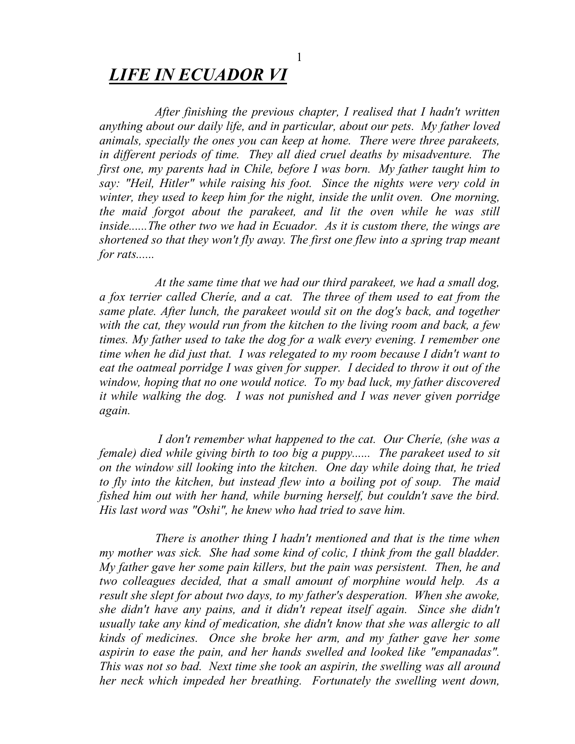## *LIFE IN ECUADOR VI*

 *After finishing the previous chapter, I realised that I hadn't written anything about our daily life, and in particular, about our pets. My father loved animals, specially the ones you can keep at home. There were three parakeets, in different periods of time. They all died cruel deaths by misadventure. The first one, my parents had in Chile, before I was born. My father taught him to say: "Heil, Hitler" while raising his foot. Since the nights were very cold in winter, they used to keep him for the night, inside the unlit oven. One morning, the maid forgot about the parakeet, and lit the oven while he was still inside......The other two we had in Ecuador. As it is custom there, the wings are shortened so that they won't fly away. The first one flew into a spring trap meant for rats......* 

 *At the same time that we had our third parakeet, we had a small dog, a fox terrier called Cheríe, and a cat. The three of them used to eat from the same plate. After lunch, the parakeet would sit on the dog's back, and together with the cat, they would run from the kitchen to the living room and back, a few times. My father used to take the dog for a walk every evening. I remember one time when he did just that. I was relegated to my room because I didn't want to eat the oatmeal porridge I was given for supper. I decided to throw it out of the window, hoping that no one would notice. To my bad luck, my father discovered it while walking the dog. I was not punished and I was never given porridge again.* 

 *I don't remember what happened to the cat. Our Cheríe, (she was a female) died while giving birth to too big a puppy...... The parakeet used to sit on the window sill looking into the kitchen. One day while doing that, he tried to fly into the kitchen, but instead flew into a boiling pot of soup. The maid fished him out with her hand, while burning herself, but couldn't save the bird. His last word was "Oshi", he knew who had tried to save him.* 

 *There is another thing I hadn't mentioned and that is the time when my mother was sick. She had some kind of colic, I think from the gall bladder. My father gave her some pain killers, but the pain was persistent. Then, he and two colleagues decided, that a small amount of morphine would help. As a result she slept for about two days, to my father's desperation. When she awoke, she didn't have any pains, and it didn't repeat itself again. Since she didn't usually take any kind of medication, she didn't know that she was allergic to all kinds of medicines. Once she broke her arm, and my father gave her some aspirin to ease the pain, and her hands swelled and looked like "empanadas". This was not so bad. Next time she took an aspirin, the swelling was all around her neck which impeded her breathing. Fortunately the swelling went down,*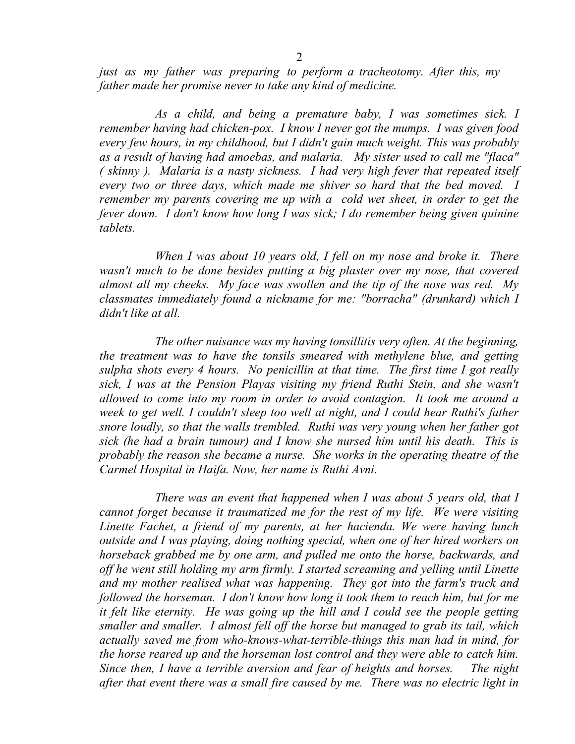*just as my father was preparing to perform a tracheotomy. After this, my father made her promise never to take any kind of medicine.* 

 *As a child, and being a premature baby, I was sometimes sick. I remember having had chicken-pox. I know I never got the mumps. I was given food every few hours, in my childhood, but I didn't gain much weight. This was probably as a result of having had amoebas, and malaria. My sister used to call me "flaca" ( skinny ). Malaria is a nasty sickness. I had very high fever that repeated itself every two or three days, which made me shiver so hard that the bed moved. I remember my parents covering me up with a cold wet sheet, in order to get the fever down. I don't know how long I was sick; I do remember being given quinine tablets.* 

 *When I was about 10 years old, I fell on my nose and broke it. There wasn't much to be done besides putting a big plaster over my nose, that covered almost all my cheeks. My face was swollen and the tip of the nose was red. My classmates immediately found a nickname for me: "borracha" (drunkard) which I didn't like at all.* 

 *The other nuisance was my having tonsillitis very often. At the beginning, the treatment was to have the tonsils smeared with methylene blue, and getting sulpha shots every 4 hours. No penicillin at that time. The first time I got really sick, I was at the Pension Playas visiting my friend Ruthi Stein, and she wasn't allowed to come into my room in order to avoid contagion. It took me around a week to get well. I couldn't sleep too well at night, and I could hear Ruthi's father snore loudly, so that the walls trembled. Ruthi was very young when her father got sick (he had a brain tumour) and I know she nursed him until his death. This is probably the reason she became a nurse. She works in the operating theatre of the Carmel Hospital in Haifa. Now, her name is Ruthi Avni.* 

 *There was an event that happened when I was about 5 years old, that I cannot forget because it traumatized me for the rest of my life. We were visiting Linette Fachet, a friend of my parents, at her hacienda. We were having lunch outside and I was playing, doing nothing special, when one of her hired workers on horseback grabbed me by one arm, and pulled me onto the horse, backwards, and off he went still holding my arm firmly. I started screaming and yelling until Linette and my mother realised what was happening. They got into the farm's truck and followed the horseman. I don't know how long it took them to reach him, but for me it felt like eternity. He was going up the hill and I could see the people getting smaller and smaller. I almost fell off the horse but managed to grab its tail, which actually saved me from who-knows-what-terrible-things this man had in mind, for the horse reared up and the horseman lost control and they were able to catch him. Since then, I have a terrible aversion and fear of heights and horses. The night after that event there was a small fire caused by me. There was no electric light in*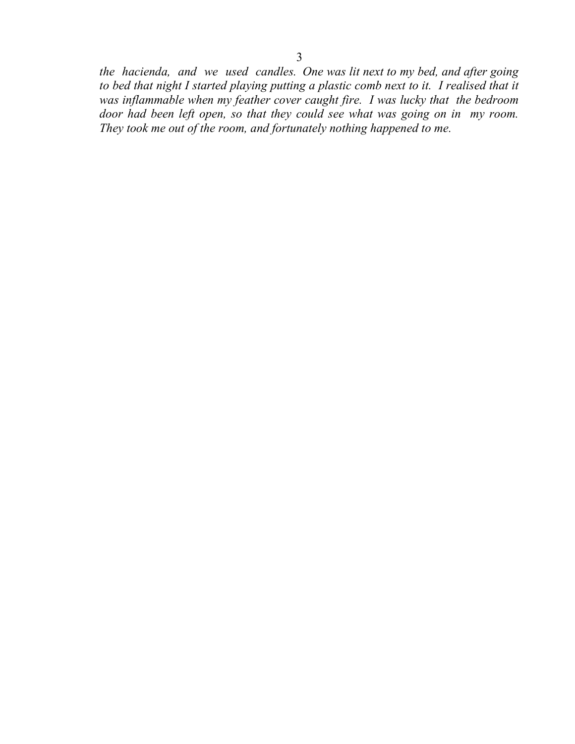*the hacienda, and we used candles. One was lit next to my bed, and after going*  to bed that night I started playing putting a plastic comb next to it. I realised that it was inflammable when my feather cover caught fire. I was lucky that the bedroom *door had been left open, so that they could see what was going on in my room. They took me out of the room, and fortunately nothing happened to me.*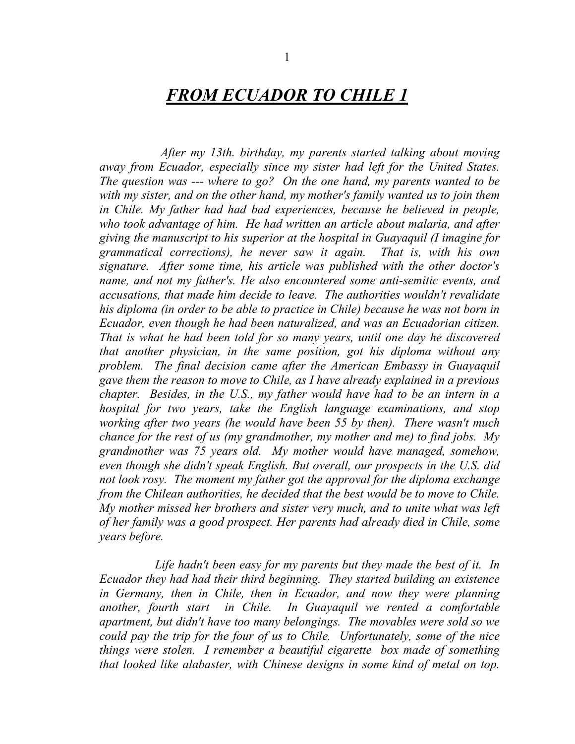## *FROM ECUADOR TO CHILE 1*

 *After my 13th. birthday, my parents started talking about moving away from Ecuador, especially since my sister had left for the United States. The question was --- where to go? On the one hand, my parents wanted to be with my sister, and on the other hand, my mother's family wanted us to join them in Chile. My father had had bad experiences, because he believed in people, who took advantage of him. He had written an article about malaria, and after giving the manuscript to his superior at the hospital in Guayaquil (I imagine for grammatical corrections), he never saw it again. That is, with his own signature. After some time, his article was published with the other doctor's name, and not my father's. He also encountered some anti-semitic events, and accusations, that made him decide to leave. The authorities wouldn't revalidate his diploma (in order to be able to practice in Chile) because he was not born in Ecuador, even though he had been naturalized, and was an Ecuadorian citizen. That is what he had been told for so many years, until one day he discovered that another physician, in the same position, got his diploma without any problem. The final decision came after the American Embassy in Guayaquil gave them the reason to move to Chile, as I have already explained in a previous chapter. Besides, in the U.S., my father would have had to be an intern in a hospital for two years, take the English language examinations, and stop working after two years (he would have been 55 by then). There wasn't much chance for the rest of us (my grandmother, my mother and me) to find jobs. My grandmother was 75 years old. My mother would have managed, somehow, even though she didn't speak English. But overall, our prospects in the U.S. did not look rosy. The moment my father got the approval for the diploma exchange from the Chilean authorities, he decided that the best would be to move to Chile. My mother missed her brothers and sister very much, and to unite what was left of her family was a good prospect. Her parents had already died in Chile, some years before.* 

 *Life hadn't been easy for my parents but they made the best of it. In Ecuador they had had their third beginning. They started building an existence in Germany, then in Chile, then in Ecuador, and now they were planning another, fourth start in Chile. In Guayaquil we rented a comfortable apartment, but didn't have too many belongings. The movables were sold so we could pay the trip for the four of us to Chile. Unfortunately, some of the nice things were stolen. I remember a beautiful cigarette box made of something that looked like alabaster, with Chinese designs in some kind of metal on top.*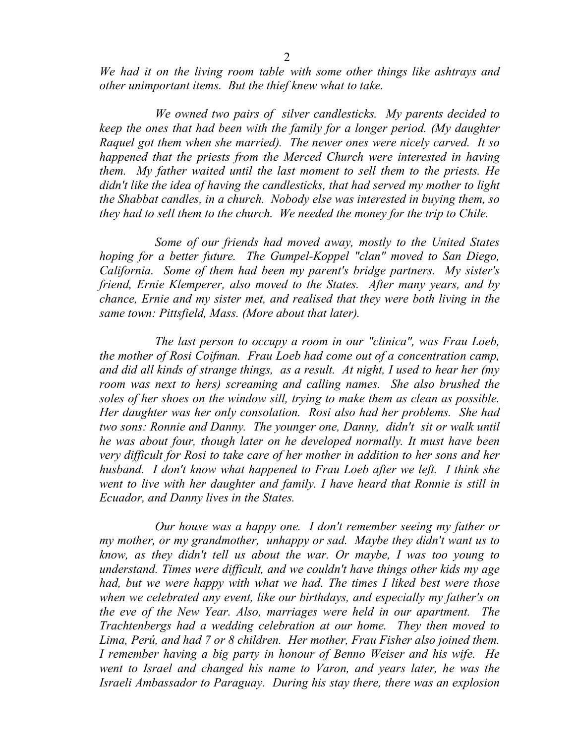2

*We had it on the living room table with some other things like ashtrays and other unimportant items. But the thief knew what to take.* 

 *We owned two pairs of silver candlesticks. My parents decided to keep the ones that had been with the family for a longer period. (My daughter Raquel got them when she married). The newer ones were nicely carved. It so happened that the priests from the Merced Church were interested in having them. My father waited until the last moment to sell them to the priests. He didn't like the idea of having the candlesticks, that had served my mother to light the Shabbat candles, in a church. Nobody else was interested in buying them, so they had to sell them to the church. We needed the money for the trip to Chile.* 

 *Some of our friends had moved away, mostly to the United States hoping for a better future. The Gumpel-Koppel "clan" moved to San Diego, California. Some of them had been my parent's bridge partners. My sister's friend, Ernie Klemperer, also moved to the States. After many years, and by chance, Ernie and my sister met, and realised that they were both living in the same town: Pittsfield, Mass. (More about that later).* 

 *The last person to occupy a room in our "clinica", was Frau Loeb, the mother of Rosi Coifman. Frau Loeb had come out of a concentration camp, and did all kinds of strange things, as a result. At night, I used to hear her (my room was next to hers) screaming and calling names. She also brushed the soles of her shoes on the window sill, trying to make them as clean as possible. Her daughter was her only consolation. Rosi also had her problems. She had two sons: Ronnie and Danny. The younger one, Danny, didn't sit or walk until he was about four, though later on he developed normally. It must have been very difficult for Rosi to take care of her mother in addition to her sons and her husband. I don't know what happened to Frau Loeb after we left. I think she went to live with her daughter and family. I have heard that Ronnie is still in Ecuador, and Danny lives in the States.* 

 *Our house was a happy one. I don't remember seeing my father or my mother, or my grandmother, unhappy or sad. Maybe they didn't want us to know, as they didn't tell us about the war. Or maybe, I was too young to understand. Times were difficult, and we couldn't have things other kids my age had, but we were happy with what we had. The times I liked best were those when we celebrated any event, like our birthdays, and especially my father's on the eve of the New Year. Also, marriages were held in our apartment. The Trachtenbergs had a wedding celebration at our home. They then moved to Lima, Perú, and had 7 or 8 children. Her mother, Frau Fisher also joined them. I remember having a big party in honour of Benno Weiser and his wife. He went to Israel and changed his name to Varon, and years later, he was the Israeli Ambassador to Paraguay. During his stay there, there was an explosion*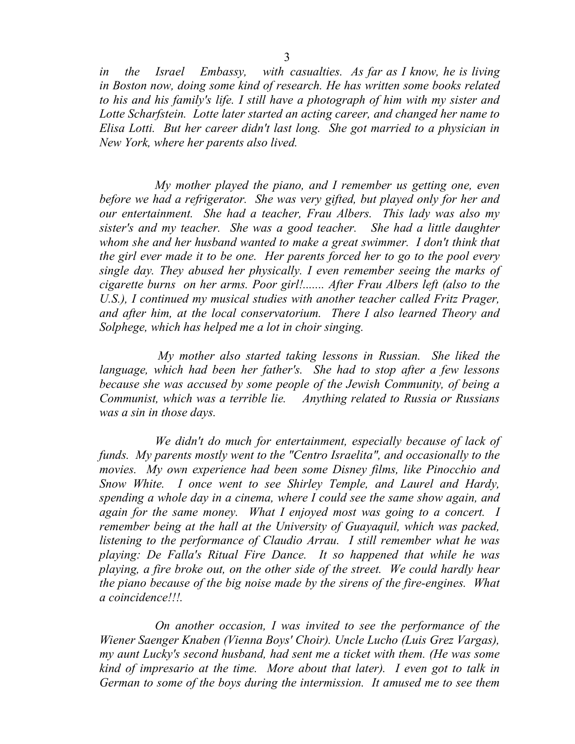*in the Israel Embassy, with casualties. As far as I know, he is living in Boston now, doing some kind of research. He has written some books related to his and his family's life. I still have a photograph of him with my sister and Lotte Scharfstein. Lotte later started an acting career, and changed her name to Elisa Lotti. But her career didn't last long. She got married to a physician in New York, where her parents also lived.* 

 *My mother played the piano, and I remember us getting one, even before we had a refrigerator. She was very gifted, but played only for her and our entertainment. She had a teacher, Frau Albers. This lady was also my sister's and my teacher. She was a good teacher. She had a little daughter whom she and her husband wanted to make a great swimmer. I don't think that the girl ever made it to be one. Her parents forced her to go to the pool every single day. They abused her physically. I even remember seeing the marks of cigarette burns on her arms. Poor girl!....... After Frau Albers left (also to the U.S.*), I continued my musical studies with another teacher called Fritz Prager, *and after him, at the local conservatorium. There I also learned Theory and Solphege, which has helped me a lot in choir singing.* 

 *My mother also started taking lessons in Russian. She liked the language, which had been her father's. She had to stop after a few lessons because she was accused by some people of the Jewish Community, of being a Communist, which was a terrible lie. Anything related to Russia or Russians was a sin in those days.* 

 *We didn't do much for entertainment, especially because of lack of funds. My parents mostly went to the "Centro Israelita", and occasionally to the movies. My own experience had been some Disney films, like Pinocchio and Snow White. I once went to see Shirley Temple, and Laurel and Hardy, spending a whole day in a cinema, where I could see the same show again, and again for the same money. What I enjoyed most was going to a concert. I remember being at the hall at the University of Guayaquil, which was packed, listening to the performance of Claudio Arrau. I still remember what he was playing: De Falla's Ritual Fire Dance. It so happened that while he was playing, a fire broke out, on the other side of the street. We could hardly hear the piano because of the big noise made by the sirens of the fire-engines. What a coincidence!!!.* 

 *On another occasion, I was invited to see the performance of the Wiener Saenger Knaben (Vienna Boys' Choir). Uncle Lucho (Luis Grez Vargas), my aunt Lucky's second husband, had sent me a ticket with them. (He was some kind of impresario at the time. More about that later). I even got to talk in German to some of the boys during the intermission. It amused me to see them*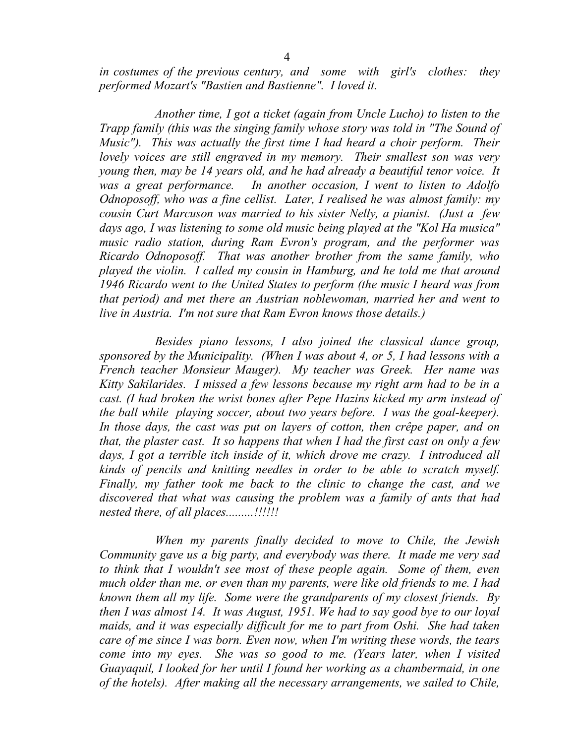*in costumes of the previous century, and some with girl's clothes: they performed Mozart's "Bastien and Bastienne". I loved it.* 

 *Another time, I got a ticket (again from Uncle Lucho) to listen to the Trapp family (this was the singing family whose story was told in "The Sound of Music"). This was actually the first time I had heard a choir perform. Their lovely voices are still engraved in my memory. Their smallest son was very young then, may be 14 years old, and he had already a beautiful tenor voice. It was a great performance. In another occasion, I went to listen to Adolfo Odnoposoff, who was a fine cellist. Later, I realised he was almost family: my cousin Curt Marcuson was married to his sister Nelly, a pianist. (Just a few days ago, I was listening to some old music being played at the "Kol Ha musica" music radio station, during Ram Evron's program, and the performer was Ricardo Odnoposoff. That was another brother from the same family, who played the violin. I called my cousin in Hamburg, and he told me that around 1946 Ricardo went to the United States to perform (the music I heard was from that period) and met there an Austrian noblewoman, married her and went to live in Austria. I'm not sure that Ram Evron knows those details.)* 

 *Besides piano lessons, I also joined the classical dance group, sponsored by the Municipality. (When I was about 4, or 5, I had lessons with a French teacher Monsieur Mauger). My teacher was Greek. Her name was Kitty Sakilarides. I missed a few lessons because my right arm had to be in a cast. (I had broken the wrist bones after Pepe Hazins kicked my arm instead of the ball while playing soccer, about two years before. I was the goal-keeper).*  In those days, the cast was put on layers of cotton, then crêpe paper, and on *that, the plaster cast. It so happens that when I had the first cast on only a few days, I got a terrible itch inside of it, which drove me crazy. I introduced all kinds of pencils and knitting needles in order to be able to scratch myself. Finally, my father took me back to the clinic to change the cast, and we discovered that what was causing the problem was a family of ants that had nested there, of all places.........!!!!!!* 

 *When my parents finally decided to move to Chile, the Jewish Community gave us a big party, and everybody was there. It made me very sad*  to think that I wouldn't see most of these people again. Some of them, even *much older than me, or even than my parents, were like old friends to me. I had known them all my life. Some were the grandparents of my closest friends. By then I was almost 14. It was August, 1951. We had to say good bye to our loyal maids, and it was especially difficult for me to part from Oshi. She had taken care of me since I was born. Even now, when I'm writing these words, the tears come into my eyes. She was so good to me. (Years later, when I visited Guayaquil, I looked for her until I found her working as a chambermaid, in one of the hotels). After making all the necessary arrangements, we sailed to Chile,*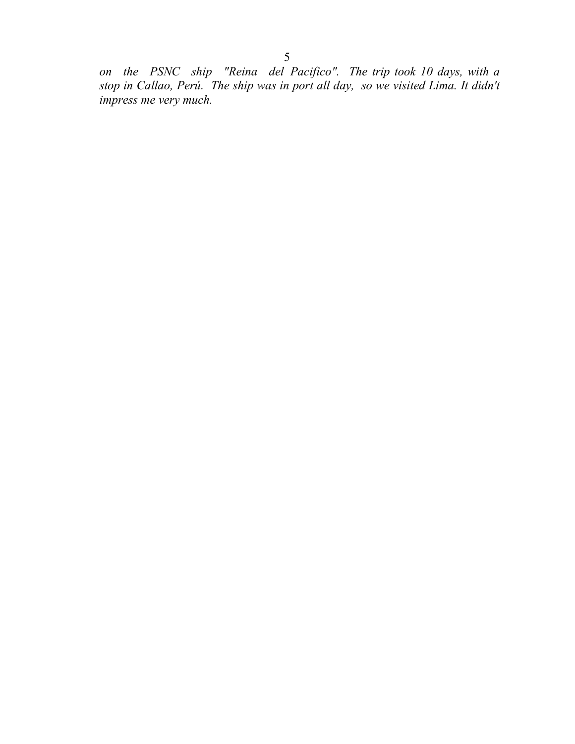*on the PSNC ship "Reina del Pacifico". The trip took 10 days, with a stop in Callao, Perú. The ship was in port all day, so we visited Lima. It didn't impress me very much.*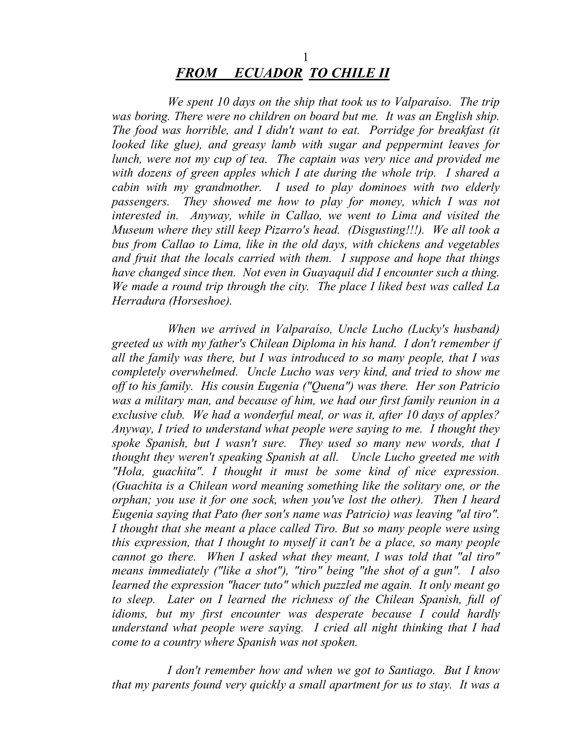## 1 *FROM ECUADOR TO CHILE II*

 *We spent 10 days on the ship that took us to Valparaíso. The trip was boring. There were no children on board but me. It was an English ship. The food was horrible, and I didn't want to eat. Porridge for breakfast (it looked like glue), and greasy lamb with sugar and peppermint leaves for lunch, were not my cup of tea. The captain was very nice and provided me with dozens of green apples which I ate during the whole trip. I shared a cabin with my grandmother. I used to play dominoes with two elderly passengers. They showed me how to play for money, which I was not interested in. Anyway, while in Callao, we went to Lima and visited the Museum where they still keep Pizarro's head. (Disgusting!!!). We all took a bus from Callao to Lima, like in the old days, with chickens and vegetables and fruit that the locals carried with them. I suppose and hope that things have changed since then. Not even in Guayaquil did I encounter such a thing. We made a round trip through the city. The place I liked best was called La Herradura (Horseshoe).* 

 *When we arrived in Valparaíso, Uncle Lucho (Lucky's husband) greeted us with my father's Chilean Diploma in his hand. I don't remember if all the family was there, but I was introduced to so many people, that I was completely overwhelmed. Uncle Lucho was very kind, and tried to show me off to his family. His cousin Eugenia ("Quena") was there. Her son Patricio was a military man, and because of him, we had our first family reunion in a exclusive club. We had a wonderful meal, or was it, after 10 days of apples? Anyway, I tried to understand what people were saying to me. I thought they spoke Spanish, but I wasn't sure. They used so many new words, that I thought they weren't speaking Spanish at all. Uncle Lucho greeted me with "Hola, guachita". I thought it must be some kind of nice expression. (Guachita is a Chilean word meaning something like the solitary one, or the orphan; you use it for one sock, when you've lost the other). Then I heard Eugenia saying that Pato (her son's name was Patricio) was leaving "al tiro". I thought that she meant a place called Tiro. But so many people were using this expression, that I thought to myself it can't be a place, so many people cannot go there. When I asked what they meant, I was told that "al tiro" means immediately ("like a shot"), "tiro" being "the shot of a gun". I also learned the expression "hacer tuto" which puzzled me again. It only meant go to sleep. Later on I learned the richness of the Chilean Spanish, full of idioms, but my first encounter was desperate because I could hardly understand what people were saying. I cried all night thinking that I had come to a country where Spanish was not spoken.* 

 *I don't remember how and when we got to Santiago. But I know that my parents found very quickly a small apartment for us to stay. It was a*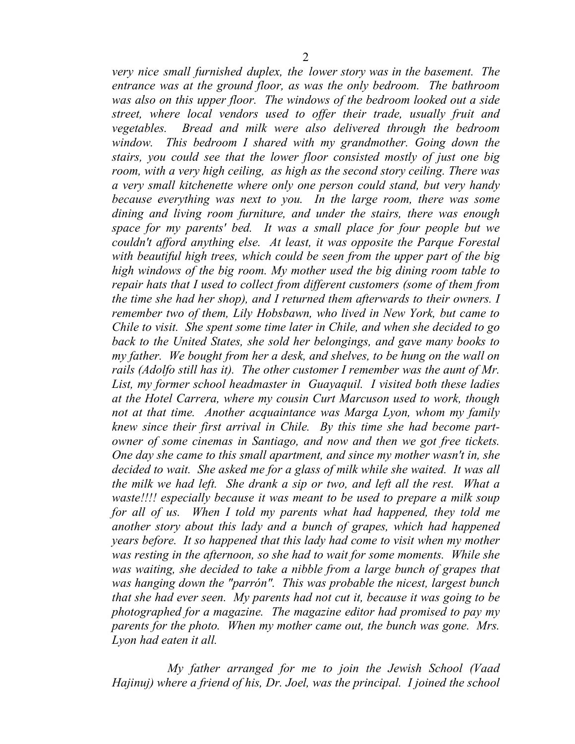*very nice small furnished duplex, the lower story was in the basement. The entrance was at the ground floor, as was the only bedroom. The bathroom was also on this upper floor. The windows of the bedroom looked out a side street, where local vendors used to offer their trade, usually fruit and vegetables. Bread and milk were also delivered through the bedroom window. This bedroom I shared with my grandmother. Going down the stairs, you could see that the lower floor consisted mostly of just one big room, with a very high ceiling, as high as the second story ceiling. There was a very small kitchenette where only one person could stand, but very handy because everything was next to you. In the large room, there was some dining and living room furniture, and under the stairs, there was enough space for my parents' bed. It was a small place for four people but we couldn't afford anything else. At least, it was opposite the Parque Forestal with beautiful high trees, which could be seen from the upper part of the big high windows of the big room. My mother used the big dining room table to repair hats that I used to collect from different customers (some of them from the time she had her shop), and I returned them afterwards to their owners. I remember two of them, Lily Hobsbawn, who lived in New York, but came to Chile to visit. She spent some time later in Chile, and when she decided to go back to the United States, she sold her belongings, and gave many books to my father. We bought from her a desk, and shelves, to be hung on the wall on rails (Adolfo still has it). The other customer I remember was the aunt of Mr. List, my former school headmaster in Guayaquil. I visited both these ladies at the Hotel Carrera, where my cousin Curt Marcuson used to work, though not at that time. Another acquaintance was Marga Lyon, whom my family knew since their first arrival in Chile. By this time she had become partowner of some cinemas in Santiago, and now and then we got free tickets. One day she came to this small apartment, and since my mother wasn't in, she decided to wait. She asked me for a glass of milk while she waited. It was all the milk we had left. She drank a sip or two, and left all the rest. What a waste!!!! especially because it was meant to be used to prepare a milk soup for all of us. When I told my parents what had happened, they told me another story about this lady and a bunch of grapes, which had happened years before. It so happened that this lady had come to visit when my mother was resting in the afternoon, so she had to wait for some moments. While she was waiting, she decided to take a nibble from a large bunch of grapes that was hanging down the "parrón". This was probable the nicest, largest bunch that she had ever seen. My parents had not cut it, because it was going to be photographed for a magazine. The magazine editor had promised to pay my parents for the photo. When my mother came out, the bunch was gone. Mrs.* 

 *My father arranged for me to join the Jewish School (Vaad Hajinuj) where a friend of his, Dr. Joel, was the principal. I joined the school* 

*Lyon had eaten it all.*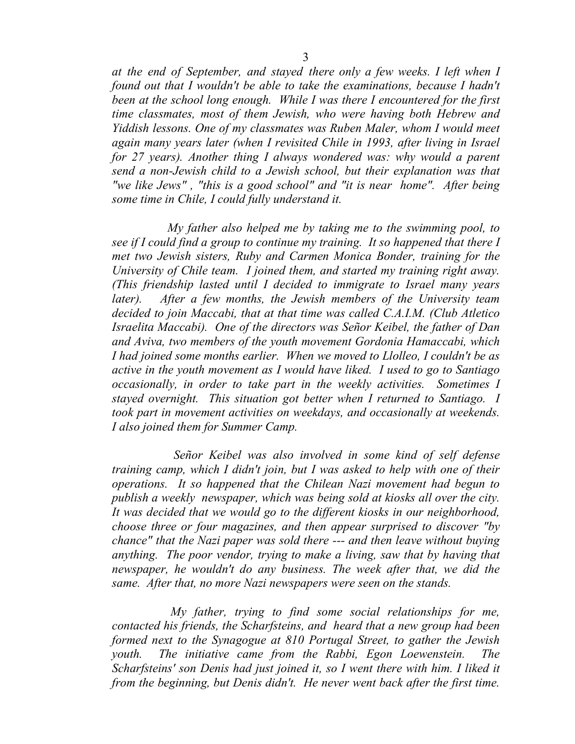*at the end of September, and stayed there only a few weeks. I left when I found out that I wouldn't be able to take the examinations, because I hadn't been at the school long enough. While I was there I encountered for the first time classmates, most of them Jewish, who were having both Hebrew and Yiddish lessons. One of my classmates was Ruben Maler, whom I would meet again many years later (when I revisited Chile in 1993, after living in Israel for 27 years). Another thing I always wondered was: why would a parent send a non-Jewish child to a Jewish school, but their explanation was that "we like Jews" , "this is a good school" and "it is near home". After being some time in Chile, I could fully understand it.* 

 *My father also helped me by taking me to the swimming pool, to see if I could find a group to continue my training. It so happened that there I met two Jewish sisters, Ruby and Carmen Monica Bonder, training for the University of Chile team. I joined them, and started my training right away. (This friendship lasted until I decided to immigrate to Israel many years later). After a few months, the Jewish members of the University team decided to join Maccabi, that at that time was called C.A.I.M. (Club Atletico Israelita Maccabi). One of the directors was Señor Keibel, the father of Dan and Aviva, two members of the youth movement Gordonia Hamaccabi, which I had joined some months earlier. When we moved to Llolleo, I couldn't be as active in the youth movement as I would have liked. I used to go to Santiago occasionally, in order to take part in the weekly activities. Sometimes I stayed overnight. This situation got better when I returned to Santiago. I took part in movement activities on weekdays, and occasionally at weekends. I also joined them for Summer Camp.* 

 *Señor Keibel was also involved in some kind of self defense training camp, which I didn't join, but I was asked to help with one of their operations. It so happened that the Chilean Nazi movement had begun to publish a weekly newspaper, which was being sold at kiosks all over the city. It was decided that we would go to the different kiosks in our neighborhood, choose three or four magazines, and then appear surprised to discover "by chance" that the Nazi paper was sold there --- and then leave without buying anything. The poor vendor, trying to make a living, saw that by having that newspaper, he wouldn't do any business. The week after that, we did the same. After that, no more Nazi newspapers were seen on the stands.* 

 *My father, trying to find some social relationships for me, contacted his friends, the Scharfsteins, and heard that a new group had been formed next to the Synagogue at 810 Portugal Street, to gather the Jewish youth.* The initiative came from the Rabbi, Egon Loewenstein. The *Scharfsteins' son Denis had just joined it, so I went there with him. I liked it from the beginning, but Denis didn't. He never went back after the first time.*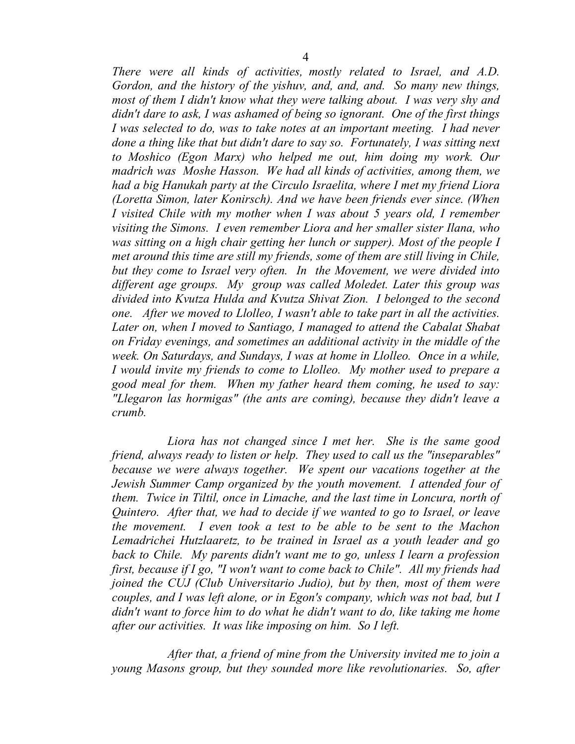*There were all kinds of activities, mostly related to Israel, and A.D. Gordon, and the history of the yishuv, and, and, and. So many new things, most of them I didn't know what they were talking about. I was very shy and didn't dare to ask, I was ashamed of being so ignorant. One of the first things I* was selected to do, was to take notes at an important meeting. *I had never done a thing like that but didn't dare to say so. Fortunately, I was sitting next to Moshico (Egon Marx) who helped me out, him doing my work. Our madrich was Moshe Hasson. We had all kinds of activities, among them, we had a big Hanukah party at the Circulo Israelita, where I met my friend Liora (Loretta Simon, later Konirsch). And we have been friends ever since. (When I visited Chile with my mother when I was about 5 years old, I remember visiting the Simons. I even remember Liora and her smaller sister Ilana, who was sitting on a high chair getting her lunch or supper). Most of the people I met around this time are still my friends, some of them are still living in Chile, but they come to Israel very often. In the Movement, we were divided into different age groups. My group was called Moledet. Later this group was divided into Kvutza Hulda and Kvutza Shivat Zion. I belonged to the second one. After we moved to Llolleo, I wasn't able to take part in all the activities. Later on, when I moved to Santiago, I managed to attend the Cabalat Shabat on Friday evenings, and sometimes an additional activity in the middle of the week. On Saturdays, and Sundays, I was at home in Llolleo. Once in a while, I would invite my friends to come to Llolleo. My mother used to prepare a good meal for them. When my father heard them coming, he used to say: "Llegaron las hormigas" (the ants are coming), because they didn't leave a crumb.* 

 *Liora has not changed since I met her. She is the same good friend, always ready to listen or help. They used to call us the "inseparables" because we were always together. We spent our vacations together at the Jewish Summer Camp organized by the youth movement. I attended four of them. Twice in Tiltil, once in Limache, and the last time in Loncura, north of Quintero. After that, we had to decide if we wanted to go to Israel, or leave the movement. I even took a test to be able to be sent to the Machon Lemadrichei Hutzlaaretz, to be trained in Israel as a youth leader and go back to Chile. My parents didn't want me to go, unless I learn a profession first, because if I go, "I won't want to come back to Chile". All my friends had joined the CUJ (Club Universitario Judio), but by then, most of them were couples, and I was left alone, or in Egon's company, which was not bad, but I didn't want to force him to do what he didn't want to do, like taking me home after our activities. It was like imposing on him. So I left.* 

 *After that, a friend of mine from the University invited me to join a young Masons group, but they sounded more like revolutionaries. So, after*